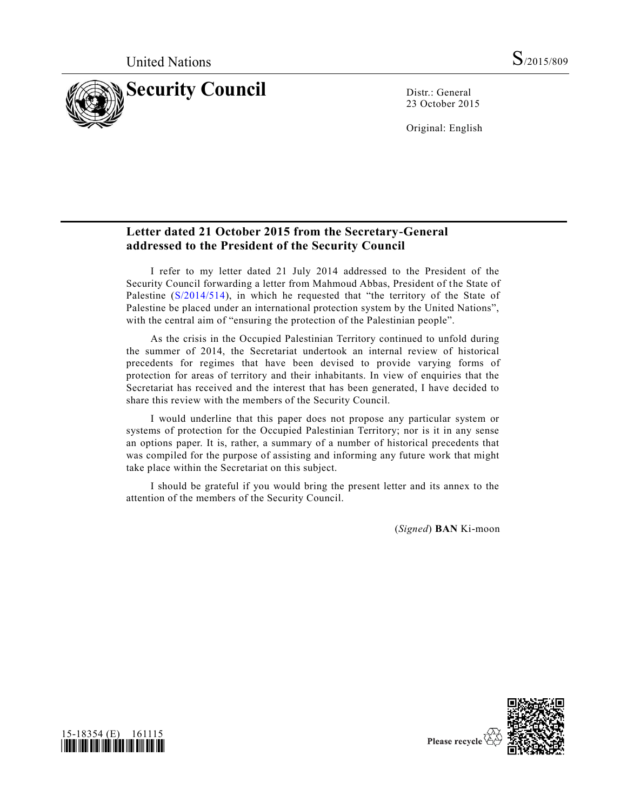

23 October 2015

Original: English

# **Letter dated 21 October 2015 from the Secretary-General addressed to the President of the Security Council**

I refer to my letter dated 21 July 2014 addressed to the President of the Security Council forwarding a letter from Mahmoud Abbas, President of the State of Palestine [\(S/2014/514\)](http://undocs.org/S/2014/514), in which he requested that "the territory of the State of Palestine be placed under an international protection system by the United Nations", with the central aim of "ensuring the protection of the Palestinian people".

As the crisis in the Occupied Palestinian Territory continued to unfold during the summer of 2014, the Secretariat undertook an internal review of historical precedents for regimes that have been devised to provide varying forms of protection for areas of territory and their inhabitants. In view of enquiries that the Secretariat has received and the interest that has been generated, I have decided to share this review with the members of the Security Council.

I would underline that this paper does not propose any particular system or systems of protection for the Occupied Palestinian Territory; nor is it in any sense an options paper. It is, rather, a summary of a number of historical precedents that was compiled for the purpose of assisting and informing any future work that might take place within the Secretariat on this subject.

I should be grateful if you would bring the present letter and its annex to the attention of the members of the Security Council.

(*Signed*) **BAN** Ki-moon



Please recycle V

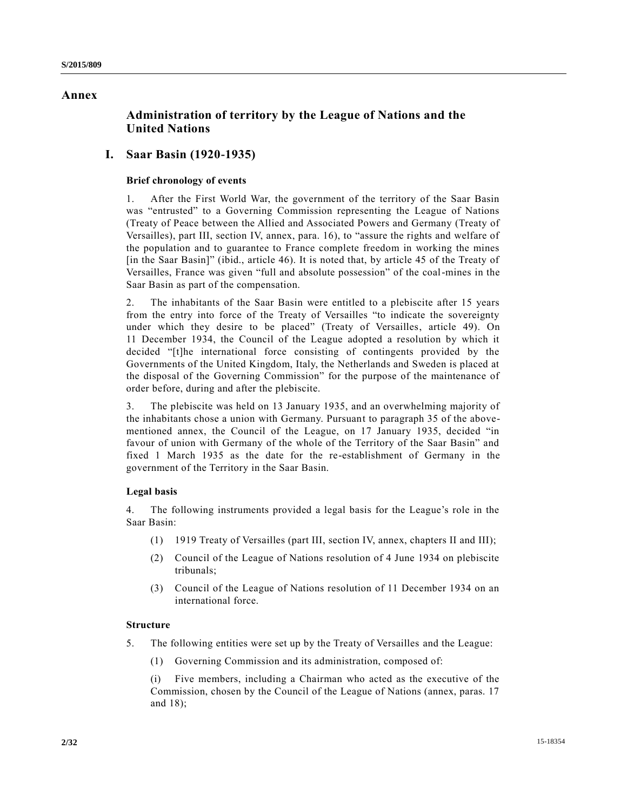# **Annex**

# **Administration of territory by the League of Nations and the United Nations**

# **I. Saar Basin (1920-1935)**

## **Brief chronology of events**

1. After the First World War, the government of the territory of the Saar Basin was "entrusted" to a Governing Commission representing the League of Nations (Treaty of Peace between the Allied and Associated Powers and Germany (Treaty of Versailles), part III, section IV, annex, para. 16), to "assure the rights and welfare of the population and to guarantee to France complete freedom in working the mines [in the Saar Basin]" (ibid., article 46). It is noted that, by article 45 of the Treaty of Versailles, France was given "full and absolute possession" of the coal-mines in the Saar Basin as part of the compensation.

2. The inhabitants of the Saar Basin were entitled to a plebiscite after 15 years from the entry into force of the Treaty of Versailles "to indicate the sovereignty under which they desire to be placed" (Treaty of Versailles, article 49). On 11 December 1934, the Council of the League adopted a resolution by which it decided "[t]he international force consisting of contingents provided by the Governments of the United Kingdom, Italy, the Netherlands and Sweden is placed at the disposal of the Governing Commission" for the purpose of the maintenance of order before, during and after the plebiscite.

3. The plebiscite was held on 13 January 1935, and an overwhelming majority of the inhabitants chose a union with Germany. Pursuant to paragraph 35 of the abovementioned annex, the Council of the League, on 17 January 1935, decided "in favour of union with Germany of the whole of the Territory of the Saar Basin" and fixed 1 March 1935 as the date for the re-establishment of Germany in the government of the Territory in the Saar Basin.

## **Legal basis**

4. The following instruments provided a legal basis for the League's role in the Saar Basin:

- (1) 1919 Treaty of Versailles (part III, section IV, annex, chapters II and III);
- (2) Council of the League of Nations resolution of 4 June 1934 on plebiscite tribunals;
- (3) Council of the League of Nations resolution of 11 December 1934 on an international force.

## **Structure**

- 5. The following entities were set up by the Treaty of Versailles and the League:
	- (1) Governing Commission and its administration, composed of:

(i) Five members, including a Chairman who acted as the executive of the Commission, chosen by the Council of the League of Nations (annex, paras. 17 and 18);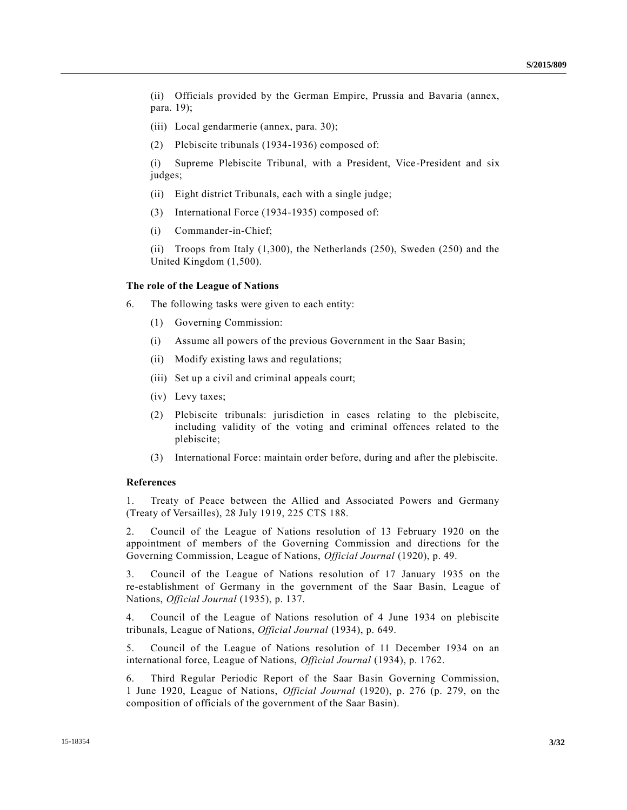(ii) Officials provided by the German Empire, Prussia and Bavaria (annex, para. 19);

- (iii) Local gendarmerie (annex, para. 30);
- (2) Plebiscite tribunals (1934-1936) composed of:

(i) Supreme Plebiscite Tribunal, with a President, Vice-President and six judges;

- (ii) Eight district Tribunals, each with a single judge;
- (3) International Force (1934-1935) composed of:
- (i) Commander-in-Chief;

(ii) Troops from Italy  $(1,300)$ , the Netherlands  $(250)$ , Sweden  $(250)$  and the United Kingdom (1,500).

#### **The role of the League of Nations**

6. The following tasks were given to each entity:

- (1) Governing Commission:
- (i) Assume all powers of the previous Government in the Saar Basin;
- (ii) Modify existing laws and regulations;
- (iii) Set up a civil and criminal appeals court;
- (iv) Levy taxes;
- (2) Plebiscite tribunals: jurisdiction in cases relating to the plebiscite, including validity of the voting and criminal offences related to the plebiscite;
- (3) International Force: maintain order before, during and after the plebiscite.

## **References**

1. Treaty of Peace between the Allied and Associated Powers and Germany (Treaty of Versailles), 28 July 1919, 225 CTS 188.

2. Council of the League of Nations resolution of 13 February 1920 on the appointment of members of the Governing Commission and directions for the Governing Commission, League of Nations, *Official Journal* (1920), p. 49.

3. Council of the League of Nations resolution of 17 January 1935 on the re-establishment of Germany in the government of the Saar Basin, League of Nations, *Official Journal* (1935), p. 137.

4. Council of the League of Nations resolution of 4 June 1934 on plebiscite tribunals, League of Nations, *Official Journal* (1934), p. 649.

5. Council of the League of Nations resolution of 11 December 1934 on an international force, League of Nations, *Official Journal* (1934), p. 1762.

6. Third Regular Periodic Report of the Saar Basin Governing Commission, 1 June 1920, League of Nations, *Official Journal* (1920), p. 276 (p. 279, on the composition of officials of the government of the Saar Basin).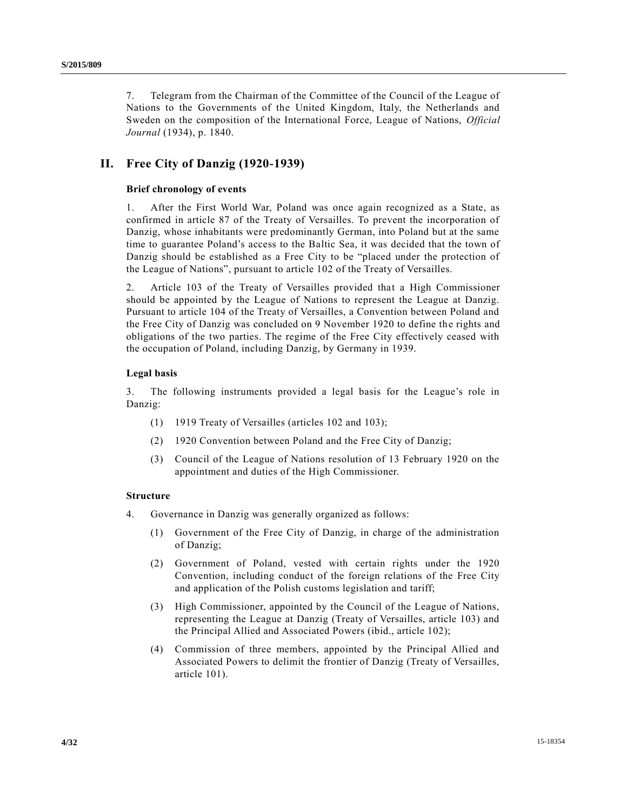7. Telegram from the Chairman of the Committee of the Council of the League of Nations to the Governments of the United Kingdom, Italy, the Netherlands and Sweden on the composition of the International Force, League of Nations, *Official Journal* (1934), p. 1840.

# **II. Free City of Danzig (1920-1939)**

# **Brief chronology of events**

1. After the First World War, Poland was once again recognized as a State, as confirmed in article 87 of the Treaty of Versailles. To prevent the incorporation of Danzig, whose inhabitants were predominantly German, into Poland but at the same time to guarantee Poland's access to the Baltic Sea, it was decided that the town of Danzig should be established as a Free City to be "placed under the protection of the League of Nations", pursuant to article 102 of the Treaty of Versailles.

2. Article 103 of the Treaty of Versailles provided that a High Commissioner should be appointed by the League of Nations to represent the League at Danzig. Pursuant to article 104 of the Treaty of Versailles, a Convention between Poland and the Free City of Danzig was concluded on 9 November 1920 to define the rights and obligations of the two parties. The regime of the Free City effectively ceased with the occupation of Poland, including Danzig, by Germany in 1939.

# **Legal basis**

3. The following instruments provided a legal basis for the League's role in Danzig:

- (1) 1919 Treaty of Versailles (articles 102 and 103);
- (2) 1920 Convention between Poland and the Free City of Danzig;
- (3) Council of the League of Nations resolution of 13 February 1920 on the appointment and duties of the High Commissioner.

## **Structure**

- 4. Governance in Danzig was generally organized as follows:
	- (1) Government of the Free City of Danzig, in charge of the administration of Danzig;
	- (2) Government of Poland, vested with certain rights under the 1920 Convention, including conduct of the foreign relations of the Free City and application of the Polish customs legislation and tariff;
	- (3) High Commissioner, appointed by the Council of the League of Nations, representing the League at Danzig (Treaty of Versailles, article 103) and the Principal Allied and Associated Powers (ibid., article 102);
	- (4) Commission of three members, appointed by the Principal Allied and Associated Powers to delimit the frontier of Danzig (Treaty of Versailles, article 101).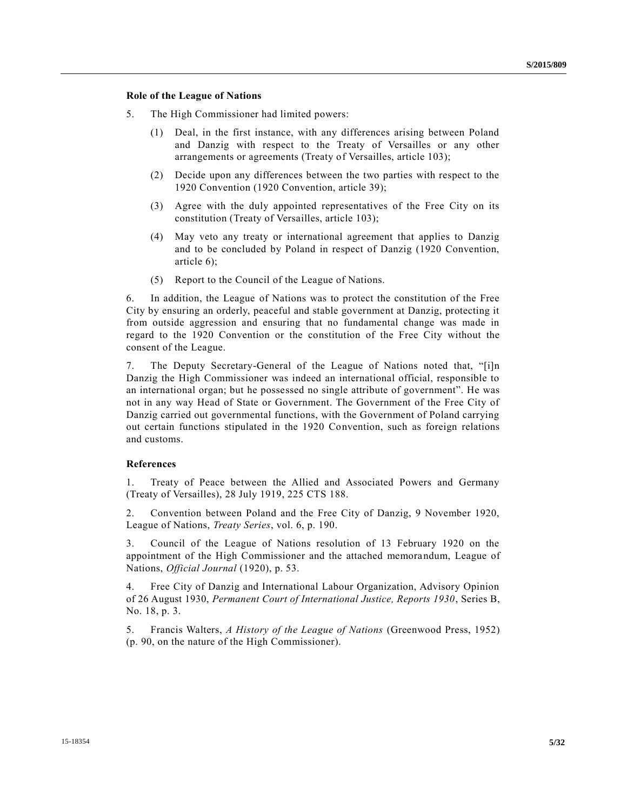### **Role of the League of Nations**

- 5. The High Commissioner had limited powers:
	- (1) Deal, in the first instance, with any differences arising between Poland and Danzig with respect to the Treaty of Versailles or any other arrangements or agreements (Treaty of Versailles, article 103);
	- (2) Decide upon any differences between the two parties with respect to the 1920 Convention (1920 Convention, article 39);
	- (3) Agree with the duly appointed representatives of the Free City on its constitution (Treaty of Versailles, article 103);
	- (4) May veto any treaty or international agreement that applies to Danzig and to be concluded by Poland in respect of Danzig (1920 Convention, article 6);
	- (5) Report to the Council of the League of Nations.

6. In addition, the League of Nations was to protect the constitution of the Free City by ensuring an orderly, peaceful and stable government at Danzig, protecting it from outside aggression and ensuring that no fundamental change was made in regard to the 1920 Convention or the constitution of the Free City without the consent of the League.

7. The Deputy Secretary-General of the League of Nations noted that, "[i]n Danzig the High Commissioner was indeed an international official, responsible to an international organ; but he possessed no single attribute of government". He was not in any way Head of State or Government. The Government of the Free City of Danzig carried out governmental functions, with the Government of Poland carrying out certain functions stipulated in the 1920 Convention, such as foreign relations and customs.

#### **References**

1. Treaty of Peace between the Allied and Associated Powers and Germany (Treaty of Versailles), 28 July 1919, 225 CTS 188.

2. Convention between Poland and the Free City of Danzig, 9 November 1920, League of Nations, *Treaty Series*, vol. 6, p. 190.

3. Council of the League of Nations resolution of 13 February 1920 on the appointment of the High Commissioner and the attached memorandum, League of Nations, *Official Journal* (1920), p. 53.

4. Free City of Danzig and International Labour Organization, Advisory Opinion of 26 August 1930, *Permanent Court of International Justice, Reports 1930*, Series B, No. 18, p. 3.

5. Francis Walters, *A History of the League of Nations* (Greenwood Press, 1952) (p. 90, on the nature of the High Commissioner).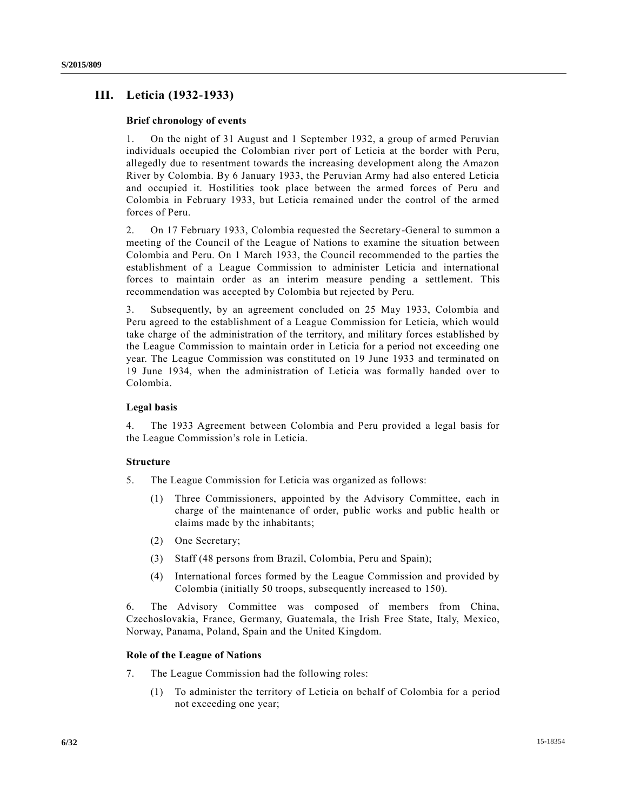# **III. Leticia (1932-1933)**

### **Brief chronology of events**

1. On the night of 31 August and 1 September 1932, a group of armed Peruvian individuals occupied the Colombian river port of Leticia at the border with Peru, allegedly due to resentment towards the increasing development along the Amazon River by Colombia. By 6 January 1933, the Peruvian Army had also entered Leticia and occupied it. Hostilities took place between the armed forces of Peru and Colombia in February 1933, but Leticia remained under the control of the armed forces of Peru.

2. On 17 February 1933, Colombia requested the Secretary-General to summon a meeting of the Council of the League of Nations to examine the situation between Colombia and Peru. On 1 March 1933, the Council recommended to the parties the establishment of a League Commission to administer Leticia and international forces to maintain order as an interim measure pending a settlement. This recommendation was accepted by Colombia but rejected by Peru.

3. Subsequently, by an agreement concluded on 25 May 1933, Colombia and Peru agreed to the establishment of a League Commission for Leticia, which would take charge of the administration of the territory, and military forces established by the League Commission to maintain order in Leticia for a period not exceeding one year. The League Commission was constituted on 19 June 1933 and terminated on 19 June 1934, when the administration of Leticia was formally handed over to Colombia.

### **Legal basis**

4. The 1933 Agreement between Colombia and Peru provided a legal basis for the League Commission's role in Leticia.

# **Structure**

- 5. The League Commission for Leticia was organized as follows:
	- (1) Three Commissioners, appointed by the Advisory Committee, each in charge of the maintenance of order, public works and public health or claims made by the inhabitants;
	- (2) One Secretary;
	- (3) Staff (48 persons from Brazil, Colombia, Peru and Spain);
	- (4) International forces formed by the League Commission and provided by Colombia (initially 50 troops, subsequently increased to 150).

6. The Advisory Committee was composed of members from China, Czechoslovakia, France, Germany, Guatemala, the Irish Free State, Italy, Mexico, Norway, Panama, Poland, Spain and the United Kingdom.

#### **Role of the League of Nations**

- 7. The League Commission had the following roles:
	- (1) To administer the territory of Leticia on behalf of Colombia for a period not exceeding one year;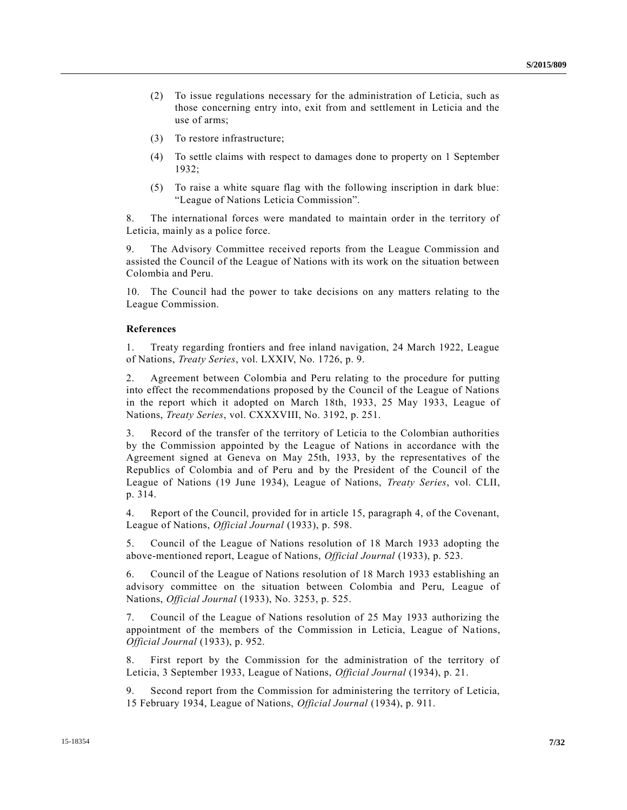- (2) To issue regulations necessary for the administration of Leticia, such as those concerning entry into, exit from and settlement in Leticia and the use of arms;
- (3) To restore infrastructure;
- (4) To settle claims with respect to damages done to property on 1 September 1932;
- (5) To raise a white square flag with the following inscription in dark blue: "League of Nations Leticia Commission".

8. The international forces were mandated to maintain order in the territory of Leticia, mainly as a police force.

9. The Advisory Committee received reports from the League Commission and assisted the Council of the League of Nations with its work on the situation between Colombia and Peru.

10. The Council had the power to take decisions on any matters relating to the League Commission.

#### **References**

1. Treaty regarding frontiers and free inland navigation, 24 March 1922, League of Nations, *Treaty Series*, vol. LXXIV, No. 1726, p. 9.

2. Agreement between Colombia and Peru relating to the procedure for putting into effect the recommendations proposed by the Council of the League of Nations in the report which it adopted on March 18th, 1933, 25 May 1933, League of Nations, *Treaty Series*, vol. CXXXVIII, No. 3192, p. 251.

3. Record of the transfer of the territory of Leticia to the Colombian authorities by the Commission appointed by the League of Nations in accordance with the Agreement signed at Geneva on May 25th, 1933, by the representatives of the Republics of Colombia and of Peru and by the President of the Council of the League of Nations (19 June 1934), League of Nations, *Treaty Series*, vol. CLII, p. 314.

4. Report of the Council, provided for in article 15, paragraph 4, of the Covenant, League of Nations, *Official Journal* (1933), p. 598.

5. Council of the League of Nations resolution of 18 March 1933 adopting the above-mentioned report, League of Nations, *Official Journal* (1933), p. 523.

6. Council of the League of Nations resolution of 18 March 1933 establishing an advisory committee on the situation between Colombia and Peru, League of Nations, *Official Journal* (1933), No. 3253, p. 525.

7. Council of the League of Nations resolution of 25 May 1933 authorizing the appointment of the members of the Commission in Leticia, League of Nations, *Official Journal* (1933), p. 952.

8. First report by the Commission for the administration of the territory of Leticia, 3 September 1933, League of Nations, *Official Journal* (1934), p. 21.

9. Second report from the Commission for administering the territory of Leticia, 15 February 1934, League of Nations, *Official Journal* (1934), p. 911.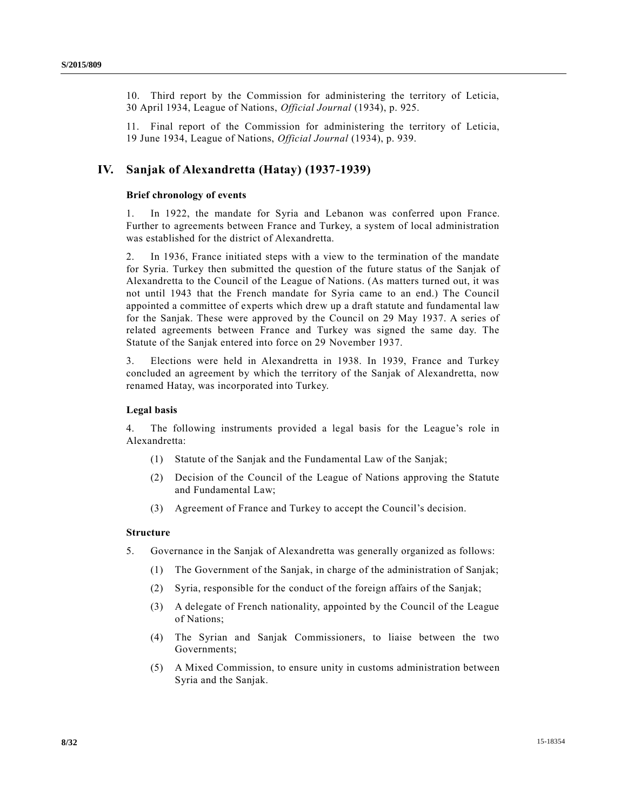10. Third report by the Commission for administering the territory of Leticia, 30 April 1934, League of Nations, *Official Journal* (1934), p. 925.

11. Final report of the Commission for administering the territory of Leticia, 19 June 1934, League of Nations, *Official Journal* (1934), p. 939.

# **IV. Sanjak of Alexandretta (Hatay) (1937-1939)**

### **Brief chronology of events**

1. In 1922, the mandate for Syria and Lebanon was conferred upon France. Further to agreements between France and Turkey, a system of local administration was established for the district of Alexandretta.

2. In 1936, France initiated steps with a view to the termination of the mandate for Syria. Turkey then submitted the question of the future status of the Sanjak of Alexandretta to the Council of the League of Nations. (As matters turned out, it was not until 1943 that the French mandate for Syria came to an end.) The Council appointed a committee of experts which drew up a draft statute and fundamental law for the Sanjak. These were approved by the Council on 29 May 1937. A series of related agreements between France and Turkey was signed the same day. The Statute of the Sanjak entered into force on 29 November 1937.

3. Elections were held in Alexandretta in 1938. In 1939, France and Turkey concluded an agreement by which the territory of the Sanjak of Alexandretta, now renamed Hatay, was incorporated into Turkey.

## **Legal basis**

4. The following instruments provided a legal basis for the League's role in Alexandretta:

- (1) Statute of the Sanjak and the Fundamental Law of the Sanjak;
- (2) Decision of the Council of the League of Nations approving the Statute and Fundamental Law;
- (3) Agreement of France and Turkey to accept the Council's decision.

## **Structure**

- 5. Governance in the Sanjak of Alexandretta was generally organized as follows:
	- (1) The Government of the Sanjak, in charge of the administration of Sanjak;
	- (2) Syria, responsible for the conduct of the foreign affairs of the Sanjak;
	- (3) A delegate of French nationality, appointed by the Council of the League of Nations;
	- (4) The Syrian and Sanjak Commissioners, to liaise between the two Governments;
	- (5) A Mixed Commission, to ensure unity in customs administration between Syria and the Sanjak.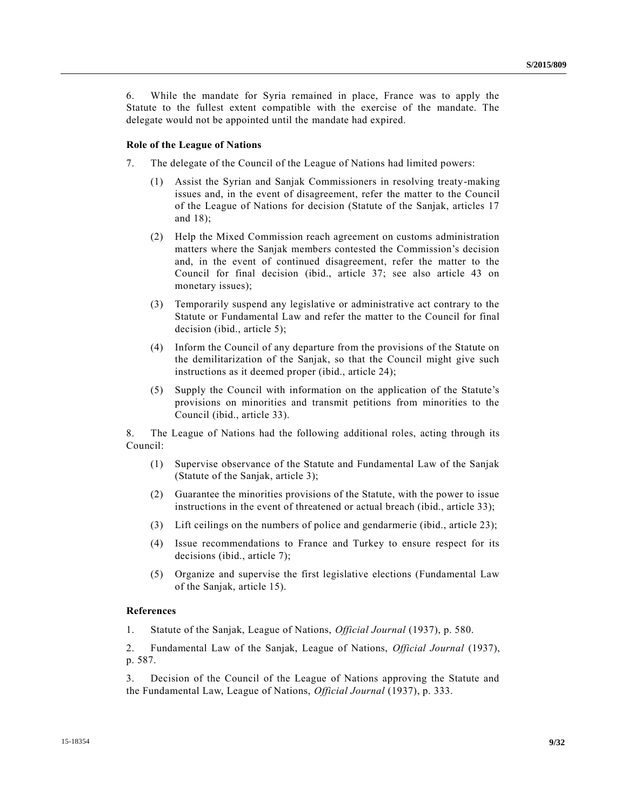6. While the mandate for Syria remained in place, France was to apply the Statute to the fullest extent compatible with the exercise of the mandate. The delegate would not be appointed until the mandate had expired.

#### **Role of the League of Nations**

- 7. The delegate of the Council of the League of Nations had limited powers:
	- (1) Assist the Syrian and Sanjak Commissioners in resolving treaty-making issues and, in the event of disagreement, refer the matter to the Council of the League of Nations for decision (Statute of the Sanjak, articles 17 and 18);
	- (2) Help the Mixed Commission reach agreement on customs administration matters where the Sanjak members contested the Commission's decision and, in the event of continued disagreement, refer the matter to the Council for final decision (ibid., article 37; see also article 43 on monetary issues);
	- (3) Temporarily suspend any legislative or administrative act contrary to the Statute or Fundamental Law and refer the matter to the Council for final decision (ibid., article 5);
	- (4) Inform the Council of any departure from the provisions of the Statute on the demilitarization of the Sanjak, so that the Council might give such instructions as it deemed proper (ibid., article 24);
	- (5) Supply the Council with information on the application of the Statute's provisions on minorities and transmit petitions from minorities to the Council (ibid., article 33).

8. The League of Nations had the following additional roles, acting through its Council:

- (1) Supervise observance of the Statute and Fundamental Law of the Sanjak (Statute of the Sanjak, article 3);
- (2) Guarantee the minorities provisions of the Statute, with the power to issue instructions in the event of threatened or actual breach (ibid., article 33);
- (3) Lift ceilings on the numbers of police and gendarmerie (ibid., article 23);
- (4) Issue recommendations to France and Turkey to ensure respect for its decisions (ibid., article 7);
- (5) Organize and supervise the first legislative elections (Fundamental Law of the Sanjak, article 15).

# **References**

1. Statute of the Sanjak, League of Nations, *Official Journal* (1937), p. 580.

2. Fundamental Law of the Sanjak, League of Nations, *Official Journal* (1937), p. 587.

3. Decision of the Council of the League of Nations approving the Statute and the Fundamental Law, League of Nations, *Official Journal* (1937), p. 333.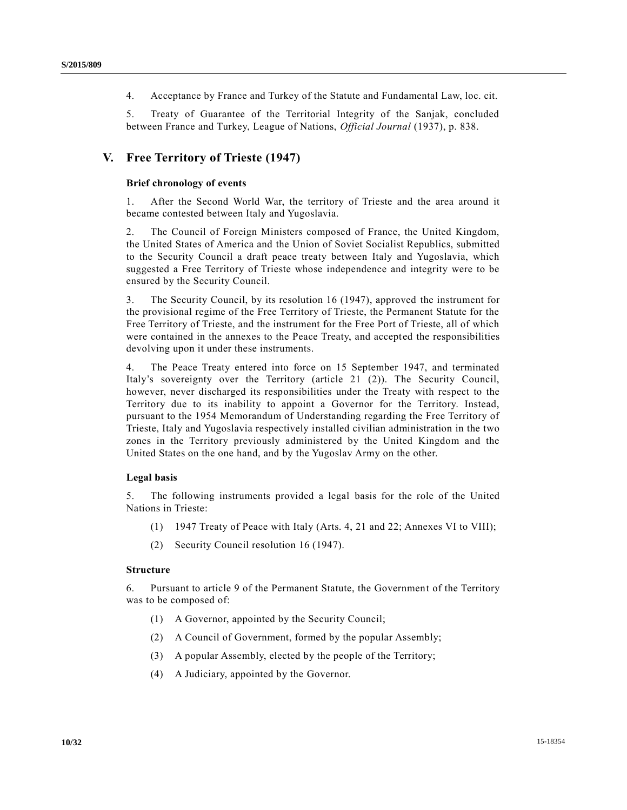4. Acceptance by France and Turkey of the Statute and Fundamental Law, loc. cit.

5. Treaty of Guarantee of the Territorial Integrity of the Sanjak, concluded between France and Turkey, League of Nations, *Official Journal* (1937), p. 838.

# **V. Free Territory of Trieste (1947)**

### **Brief chronology of events**

1. After the Second World War, the territory of Trieste and the area around it became contested between Italy and Yugoslavia.

2. The Council of Foreign Ministers composed of France, the United Kingdom, the United States of America and the Union of Soviet Socialist Republics, submitted to the Security Council a draft peace treaty between Italy and Yugoslavia, which suggested a Free Territory of Trieste whose independence and integrity were to be ensured by the Security Council.

3. The Security Council, by its resolution 16 (1947), approved the instrument for the provisional regime of the Free Territory of Trieste, the Permanent Statute for the Free Territory of Trieste, and the instrument for the Free Port of Trieste, all of which were contained in the annexes to the Peace Treaty, and accepted the responsibilities devolving upon it under these instruments.

4. The Peace Treaty entered into force on 15 September 1947, and terminated Italy's sovereignty over the Territory (article 21 (2)). The Security Council, however, never discharged its responsibilities under the Treaty with respect to the Territory due to its inability to appoint a Governor for the Territory. Instead, pursuant to the 1954 Memorandum of Understanding regarding the Free Territory of Trieste, Italy and Yugoslavia respectively installed civilian administration in the two zones in the Territory previously administered by the United Kingdom and the United States on the one hand, and by the Yugoslav Army on the other.

### **Legal basis**

5. The following instruments provided a legal basis for the role of the United Nations in Trieste:

- (1) 1947 Treaty of Peace with Italy (Arts. 4, 21 and 22; Annexes VI to VIII);
- (2) Security Council resolution 16 (1947).

# **Structure**

6. Pursuant to article 9 of the Permanent Statute, the Government of the Territory was to be composed of:

- (1) A Governor, appointed by the Security Council;
- (2) A Council of Government, formed by the popular Assembly;
- (3) A popular Assembly, elected by the people of the Territory;
- (4) A Judiciary, appointed by the Governor.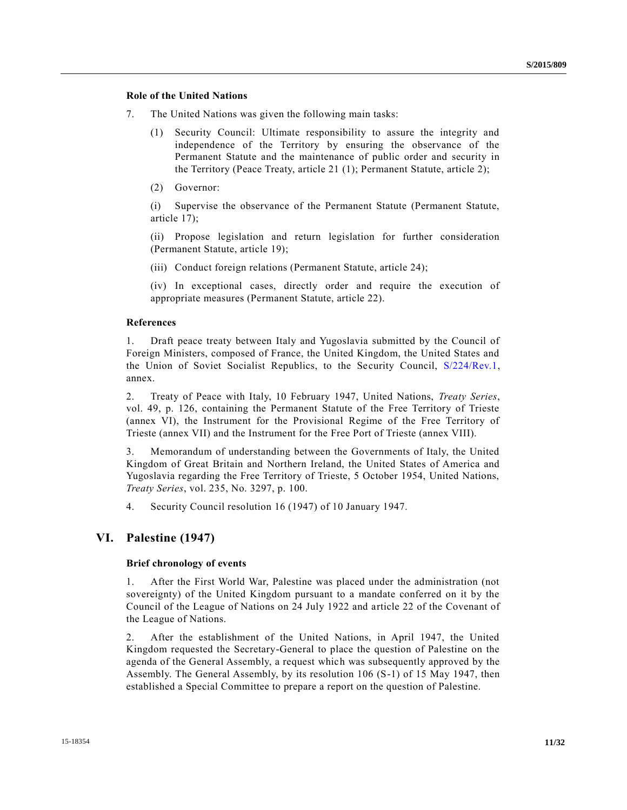# **Role of the United Nations**

- 7. The United Nations was given the following main tasks:
	- (1) Security Council: Ultimate responsibility to assure the integrity and independence of the Territory by ensuring the observance of the Permanent Statute and the maintenance of public order and security in the Territory (Peace Treaty, article 21 (1); Permanent Statute, article 2);
	- (2) Governor:

(i) Supervise the observance of the Permanent Statute (Permanent Statute, article 17);

(ii) Propose legislation and return legislation for further consideration (Permanent Statute, article 19);

(iii) Conduct foreign relations (Permanent Statute, article 24);

(iv) In exceptional cases, directly order and require the execution of appropriate measures (Permanent Statute, article 22).

# **References**

1. Draft peace treaty between Italy and Yugoslavia submitted by the Council of Foreign Ministers, composed of France, the United Kingdom, the United States and the Union of Soviet Socialist Republics, to the Security Council, [S/224/Rev.1,](http://undocs.org/S/224/Rev.1) annex.

2. Treaty of Peace with Italy, 10 February 1947, United Nations, *Treaty Series*, vol. 49, p. 126, containing the Permanent Statute of the Free Territory of Trieste (annex VI), the Instrument for the Provisional Regime of the Free Territory of Trieste (annex VII) and the Instrument for the Free Port of Trieste (annex VIII).

3. Memorandum of understanding between the Governments of Italy, the United Kingdom of Great Britain and Northern Ireland, the United States of America and Yugoslavia regarding the Free Territory of Trieste, 5 October 1954, United Nations, *Treaty Series*, vol. 235, No. 3297, p. 100.

4. Security Council resolution 16 (1947) of 10 January 1947.

# **VI. Palestine (1947)**

# **Brief chronology of events**

1. After the First World War, Palestine was placed under the administration (not sovereignty) of the United Kingdom pursuant to a mandate conferred on it by the Council of the League of Nations on 24 July 1922 and article 22 of the Covenant of the League of Nations.

2. After the establishment of the United Nations, in April 1947, the United Kingdom requested the Secretary-General to place the question of Palestine on the agenda of the General Assembly, a request which was subsequently approved by the Assembly. The General Assembly, by its resolution 106 (S-1) of 15 May 1947, then established a Special Committee to prepare a report on the question of Palestine.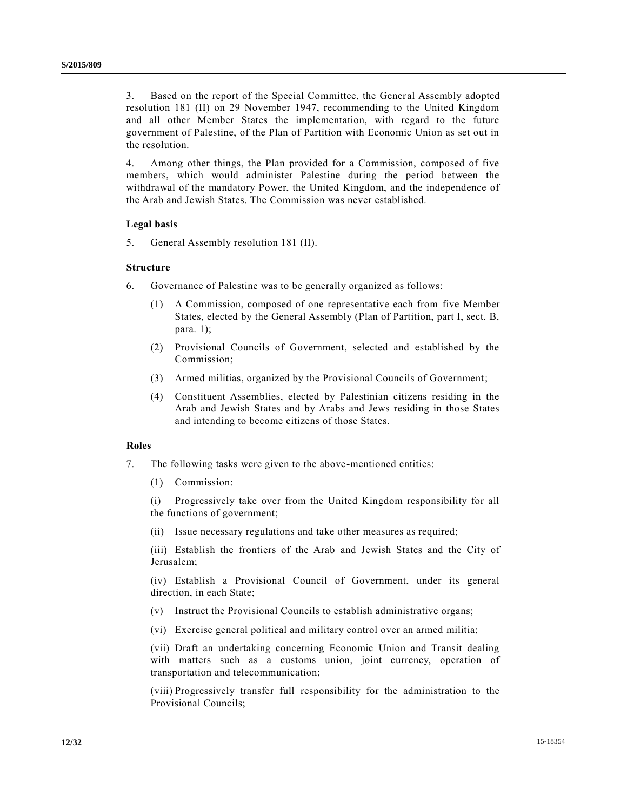3. Based on the report of the Special Committee, the General Assembly adopted resolution 181 (II) on 29 November 1947, recommending to the United Kingdom and all other Member States the implementation, with regard to the future government of Palestine, of the Plan of Partition with Economic Union as set out in the resolution.

4. Among other things, the Plan provided for a Commission, composed of five members, which would administer Palestine during the period between the withdrawal of the mandatory Power, the United Kingdom, and the independence of the Arab and Jewish States. The Commission was never established.

#### **Legal basis**

5. General Assembly resolution 181 (II).

### **Structure**

- 6. Governance of Palestine was to be generally organized as follows:
	- (1) A Commission, composed of one representative each from five Member States, elected by the General Assembly (Plan of Partition, part I, sect. B, para.  $1$ );
	- (2) Provisional Councils of Government, selected and established by the Commission;
	- (3) Armed militias, organized by the Provisional Councils of Government;
	- (4) Constituent Assemblies, elected by Palestinian citizens residing in the Arab and Jewish States and by Arabs and Jews residing in those States and intending to become citizens of those States.

## **Roles**

- 7. The following tasks were given to the above-mentioned entities:
	- (1) Commission:

(i) Progressively take over from the United Kingdom responsibility for all the functions of government;

(ii) Issue necessary regulations and take other measures as required;

(iii) Establish the frontiers of the Arab and Jewish States and the City of Jerusalem;

(iv) Establish a Provisional Council of Government, under its general direction, in each State;

- (v) Instruct the Provisional Councils to establish administrative organs;
- (vi) Exercise general political and military control over an armed militia;

(vii) Draft an undertaking concerning Economic Union and Transit dealing with matters such as a customs union, joint currency, operation of transportation and telecommunication;

(viii) Progressively transfer full responsibility for the administration to the Provisional Councils;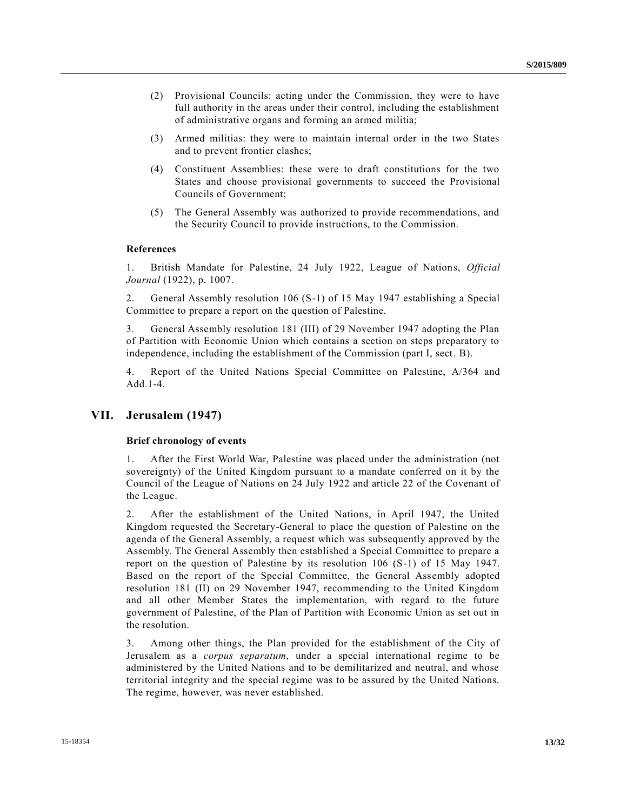- (2) Provisional Councils: acting under the Commission, they were to have full authority in the areas under their control, including the establishment of administrative organs and forming an armed militia;
- (3) Armed militias: they were to maintain internal order in the two States and to prevent frontier clashes;
- (4) Constituent Assemblies: these were to draft constitutions for the two States and choose provisional governments to succeed the Provisional Councils of Government;
- (5) The General Assembly was authorized to provide recommendations, and the Security Council to provide instructions, to the Commission.

### **References**

1. British Mandate for Palestine, 24 July 1922, League of Nations, *Official Journal* (1922), p. 1007.

2. General Assembly resolution 106 (S-1) of 15 May 1947 establishing a Special Committee to prepare a report on the question of Palestine.

3. General Assembly resolution 181 (III) of 29 November 1947 adopting the Plan of Partition with Economic Union which contains a section on steps preparatory to independence, including the establishment of the Commission (part I, sect. B).

4. Report of the United Nations Special Committee on Palestine, A/364 and Add.1-4.

# **VII. Jerusalem (1947)**

### **Brief chronology of events**

1. After the First World War, Palestine was placed under the administration (not sovereignty) of the United Kingdom pursuant to a mandate conferred on it by the Council of the League of Nations on 24 July 1922 and article 22 of the Covenant of the League.

2. After the establishment of the United Nations, in April 1947, the United Kingdom requested the Secretary-General to place the question of Palestine on the agenda of the General Assembly, a request which was subsequently approved by the Assembly. The General Assembly then established a Special Committee to prepare a report on the question of Palestine by its resolution 106 (S-1) of 15 May 1947. Based on the report of the Special Committee, the General Assembly adopted resolution 181 (II) on 29 November 1947, recommending to the United Kingdom and all other Member States the implementation, with regard to the future government of Palestine, of the Plan of Partition with Economic Union as set out in the resolution.

3. Among other things, the Plan provided for the establishment of the City of Jerusalem as a *corpus separatum*, under a special international regime to be administered by the United Nations and to be demilitarized and neutral, and whose territorial integrity and the special regime was to be assured by the United Nations. The regime, however, was never established.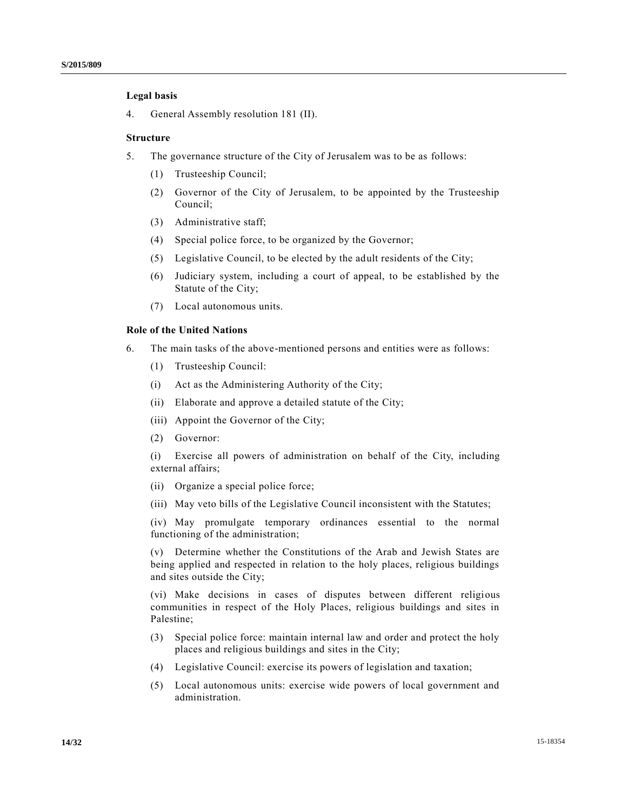# **Legal basis**

4. General Assembly resolution 181 (II).

#### **Structure**

- 5. The governance structure of the City of Jerusalem was to be as follows:
	- (1) Trusteeship Council;
	- (2) Governor of the City of Jerusalem, to be appointed by the Trusteeship Council;
	- (3) Administrative staff;
	- (4) Special police force, to be organized by the Governor;
	- (5) Legislative Council, to be elected by the adult residents of the City;
	- (6) Judiciary system, including a court of appeal, to be established by the Statute of the City;
	- (7) Local autonomous units.

### **Role of the United Nations**

- 6. The main tasks of the above-mentioned persons and entities were as follows:
	- (1) Trusteeship Council:
	- (i) Act as the Administering Authority of the City;
	- (ii) Elaborate and approve a detailed statute of the City;
	- (iii) Appoint the Governor of the City;
	- (2) Governor:

(i) Exercise all powers of administration on behalf of the City, including external affairs;

- (ii) Organize a special police force;
- (iii) May veto bills of the Legislative Council inconsistent with the Statutes;

(iv) May promulgate temporary ordinances essential to the normal functioning of the administration;

(v) Determine whether the Constitutions of the Arab and Jewish States are being applied and respected in relation to the holy places, religious buildings and sites outside the City;

(vi) Make decisions in cases of disputes between different religious communities in respect of the Holy Places, religious buildings and sites in Palestine;

- (3) Special police force: maintain internal law and order and protect the holy places and religious buildings and sites in the City;
- (4) Legislative Council: exercise its powers of legislation and taxation;
- (5) Local autonomous units: exercise wide powers of local government and administration.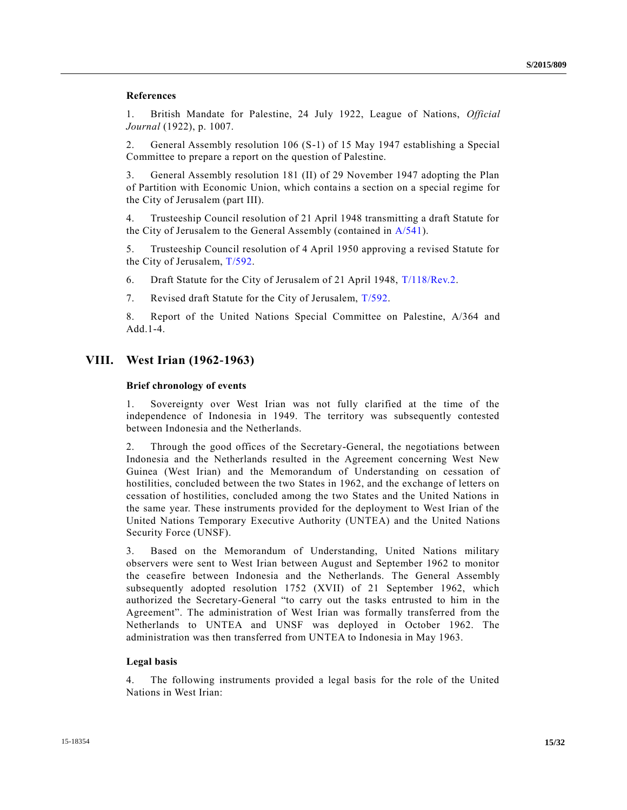## **References**

1. British Mandate for Palestine, 24 July 1922, League of Nations, *Official Journal* (1922), p. 1007.

2. General Assembly resolution 106 (S-1) of 15 May 1947 establishing a Special Committee to prepare a report on the question of Palestine.

3. General Assembly resolution 181 (II) of 29 November 1947 adopting the Plan of Partition with Economic Union, which contains a section on a special regime for the City of Jerusalem (part III).

4. Trusteeship Council resolution of 21 April 1948 transmitting a draft Statute for the City of Jerusalem to the General Assembly (contained in [A/541\)](http://undocs.org/A/541).

5. Trusteeship Council resolution of 4 April 1950 approving a revised Statute for the City of Jerusalem, [T/592.](http://undocs.org/T/592)

6. Draft Statute for the City of Jerusalem of 21 April 1948, [T/118/Rev.2.](http://undocs.org/T/118/Rev.2)

7. Revised draft Statute for the City of Jerusalem, [T/592.](http://undocs.org/T/592)

8. Report of the United Nations Special Committee on Palestine, A/364 and Add.1-4.

# **VIII. West Irian (1962-1963)**

#### **Brief chronology of events**

1. Sovereignty over West Irian was not fully clarified at the time of the independence of Indonesia in 1949. The territory was subsequently contested between Indonesia and the Netherlands.

2. Through the good offices of the Secretary-General, the negotiations between Indonesia and the Netherlands resulted in the Agreement concerning West New Guinea (West Irian) and the Memorandum of Understanding on cessation of hostilities, concluded between the two States in 1962, and the exchange of letters on cessation of hostilities, concluded among the two States and the United Nations in the same year. These instruments provided for the deployment to West Irian of the United Nations Temporary Executive Authority (UNTEA) and the United Nations Security Force (UNSF).

3. Based on the Memorandum of Understanding, United Nations military observers were sent to West Irian between August and September 1962 to monitor the ceasefire between Indonesia and the Netherlands. The General Assembly subsequently adopted resolution 1752 (XVII) of 21 September 1962, which authorized the Secretary-General "to carry out the tasks entrusted to him in the Agreement". The administration of West Irian was formally transferred from the Netherlands to UNTEA and UNSF was deployed in October 1962. The administration was then transferred from UNTEA to Indonesia in May 1963.

#### **Legal basis**

4. The following instruments provided a legal basis for the role of the United Nations in West Irian: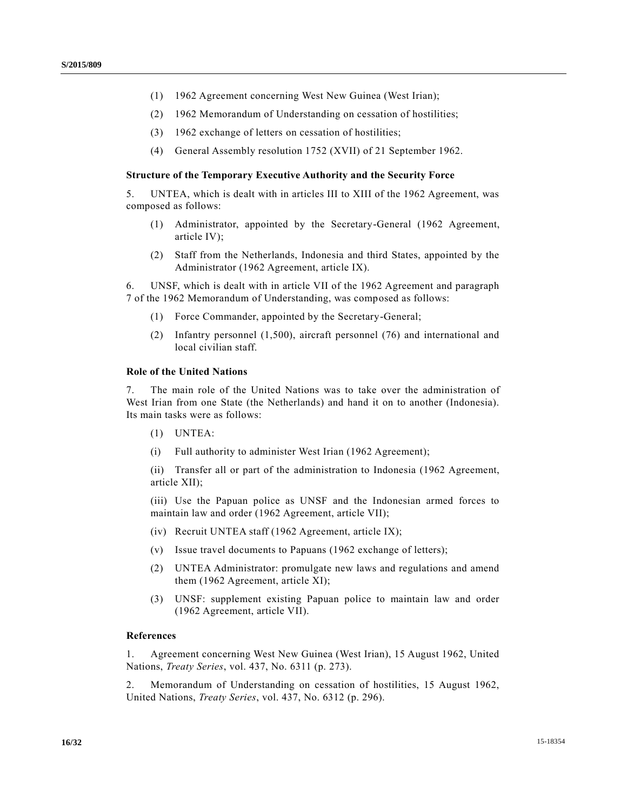- (1) 1962 Agreement concerning West New Guinea (West Irian);
- (2) 1962 Memorandum of Understanding on cessation of hostilities;
- (3) 1962 exchange of letters on cessation of hostilities;
- (4) General Assembly resolution 1752 (XVII) of 21 September 1962.

### **Structure of the Temporary Executive Authority and the Security Force**

5. UNTEA, which is dealt with in articles III to XIII of the 1962 Agreement, was composed as follows:

- (1) Administrator, appointed by the Secretary-General (1962 Agreement, article IV);
- (2) Staff from the Netherlands, Indonesia and third States, appointed by the Administrator (1962 Agreement, article IX).

6. UNSF, which is dealt with in article VII of the 1962 Agreement and paragraph 7 of the 1962 Memorandum of Understanding, was composed as follows:

- (1) Force Commander, appointed by the Secretary-General;
- (2) Infantry personnel (1,500), aircraft personnel (76) and international and local civilian staff.

#### **Role of the United Nations**

7. The main role of the United Nations was to take over the administration of West Irian from one State (the Netherlands) and hand it on to another (Indonesia). Its main tasks were as follows:

- (1) UNTEA:
- (i) Full authority to administer West Irian (1962 Agreement);

(ii) Transfer all or part of the administration to Indonesia (1962 Agreement, article XII);

(iii) Use the Papuan police as UNSF and the Indonesian armed forces to maintain law and order (1962 Agreement, article VII);

- (iv) Recruit UNTEA staff (1962 Agreement, article IX);
- (v) Issue travel documents to Papuans (1962 exchange of letters);
- (2) UNTEA Administrator: promulgate new laws and regulations and amend them (1962 Agreement, article XI);
- (3) UNSF: supplement existing Papuan police to maintain law and order (1962 Agreement, article VII).

# **References**

1. Agreement concerning West New Guinea (West Irian), 15 August 1962, United Nations, *Treaty Series*, vol. 437, No. 6311 (p. 273).

2. Memorandum of Understanding on cessation of hostilities, 15 August 1962, United Nations, *Treaty Series*, vol. 437, No. 6312 (p. 296).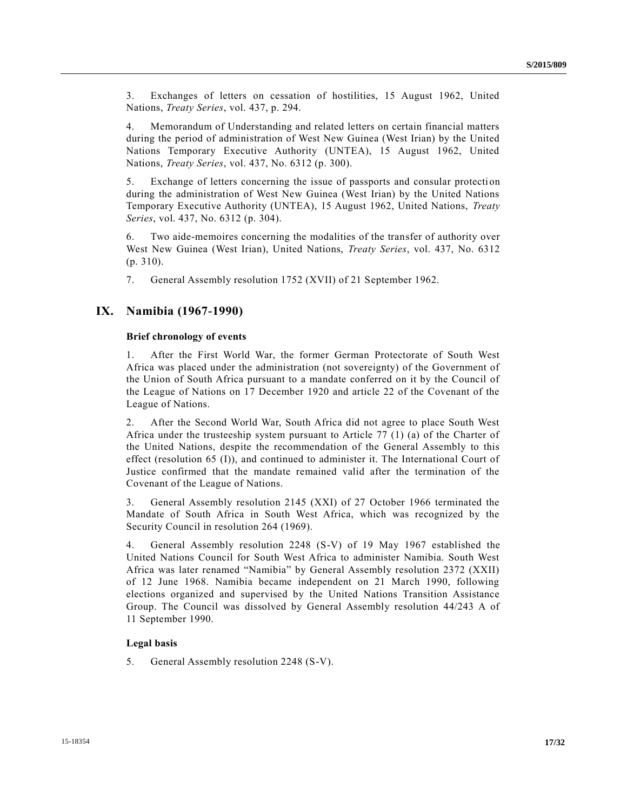3. Exchanges of letters on cessation of hostilities, 15 August 1962, United Nations, *Treaty Series*, vol. 437, p. 294.

4. Memorandum of Understanding and related letters on certain financial matters during the period of administration of West New Guinea (West Irian) by the United Nations Temporary Executive Authority (UNTEA), 15 August 1962, United Nations, *Treaty Series*, vol. 437, No. 6312 (p. 300).

5. Exchange of letters concerning the issue of passports and consular protection during the administration of West New Guinea (West Irian) by the United Nations Temporary Executive Authority (UNTEA), 15 August 1962, United Nations, *Treaty Series*, vol. 437, No. 6312 (p. 304).

6. Two aide-memoires concerning the modalities of the transfer of authority over West New Guinea (West Irian), United Nations, *Treaty Series*, vol. 437, No. 6312 (p. 310).

7. General Assembly resolution 1752 (XVII) of 21 September 1962.

# **IX. Namibia (1967-1990)**

## **Brief chronology of events**

1. After the First World War, the former German Protectorate of South West Africa was placed under the administration (not sovereignty) of the Government of the Union of South Africa pursuant to a mandate conferred on it by the Council of the League of Nations on 17 December 1920 and article 22 of the Covenant of the League of Nations.

2. After the Second World War, South Africa did not agree to place South West Africa under the trusteeship system pursuant to Article 77 (1) (a) of the Charter of the United Nations, despite the recommendation of the General Assembly to this effect (resolution 65 (I)), and continued to administer it. The International Court of Justice confirmed that the mandate remained valid after the termination of the Covenant of the League of Nations.

3. General Assembly resolution 2145 (XXI) of 27 October 1966 terminated the Mandate of South Africa in South West Africa, which was recognized by the Security Council in resolution 264 (1969).

4. General Assembly resolution 2248 (S-V) of 19 May 1967 established the United Nations Council for South West Africa to administer Namibia. South West Africa was later renamed "Namibia" by General Assembly resolution 2372 (XXII) of 12 June 1968. Namibia became independent on 21 March 1990, following elections organized and supervised by the United Nations Transition Assistance Group. The Council was dissolved by General Assembly resolution 44/243 A of 11 September 1990.

### **Legal basis**

5. General Assembly resolution 2248 (S-V).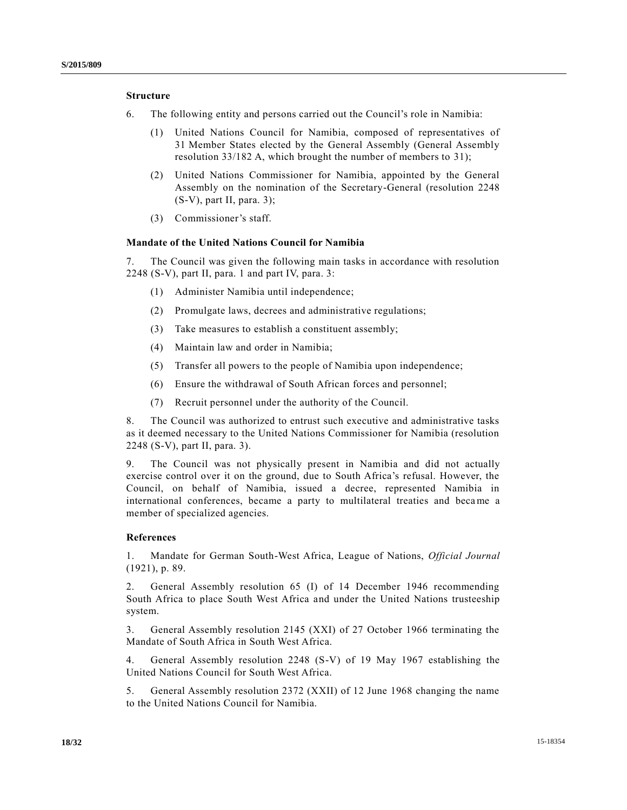# **Structure**

- 6. The following entity and persons carried out the Council's role in Namibia:
	- (1) United Nations Council for Namibia, composed of representatives of 31 Member States elected by the General Assembly (General Assembly resolution 33/182 A, which brought the number of members to 31);
	- (2) United Nations Commissioner for Namibia, appointed by the General Assembly on the nomination of the Secretary-General (resolution 2248 (S-V), part II, para. 3);
	- (3) Commissioner's staff.

### **Mandate of the United Nations Council for Namibia**

7. The Council was given the following main tasks in accordance with resolution 2248 (S-V), part II, para. 1 and part IV, para. 3:

- (1) Administer Namibia until independence;
- (2) Promulgate laws, decrees and administrative regulations;
- (3) Take measures to establish a constituent assembly;
- (4) Maintain law and order in Namibia;
- (5) Transfer all powers to the people of Namibia upon independence;
- (6) Ensure the withdrawal of South African forces and personnel;
- (7) Recruit personnel under the authority of the Council.

8. The Council was authorized to entrust such executive and administrative tasks as it deemed necessary to the United Nations Commissioner for Namibia (resolution 2248 (S-V), part II, para. 3).

9. The Council was not physically present in Namibia and did not actually exercise control over it on the ground, due to South Africa's refusal. However, the Council, on behalf of Namibia, issued a decree, represented Namibia in international conferences, became a party to multilateral treaties and became a member of specialized agencies.

#### **References**

1. Mandate for German South-West Africa, League of Nations, *Official Journal* (1921), p. 89.

2. General Assembly resolution 65 (I) of 14 December 1946 recommending South Africa to place South West Africa and under the United Nations trusteeship system.

3. General Assembly resolution 2145 (XXI) of 27 October 1966 terminating the Mandate of South Africa in South West Africa.

4. General Assembly resolution 2248 (S-V) of 19 May 1967 establishing the United Nations Council for South West Africa.

5. General Assembly resolution 2372 (XXII) of 12 June 1968 changing the name to the United Nations Council for Namibia.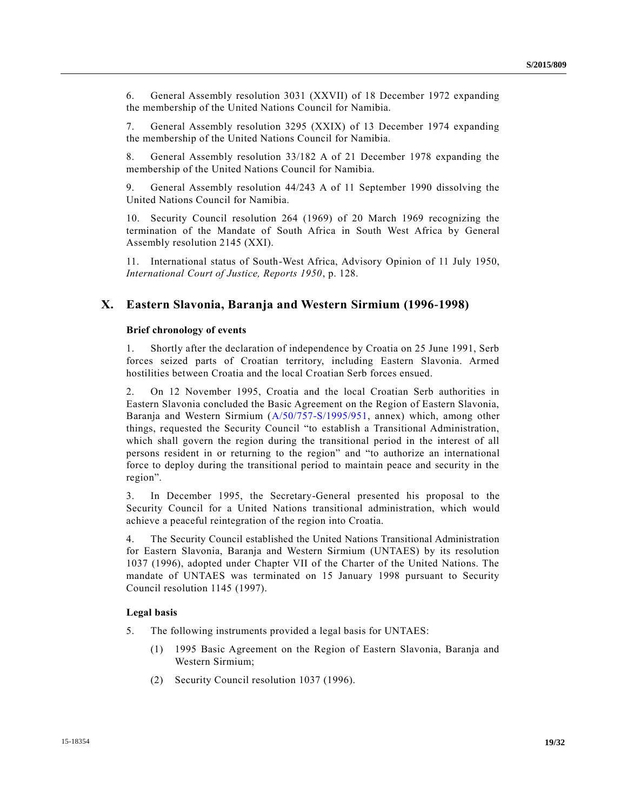6. General Assembly resolution 3031 (XXVII) of 18 December 1972 expanding the membership of the United Nations Council for Namibia.

7. General Assembly resolution 3295 (XXIX) of 13 December 1974 expanding the membership of the United Nations Council for Namibia.

8. General Assembly resolution 33/182 A of 21 December 1978 expanding the membership of the United Nations Council for Namibia.

9. General Assembly resolution 44/243 A of 11 September 1990 dissolving the United Nations Council for Namibia.

10. Security Council resolution 264 (1969) of 20 March 1969 recognizing the termination of the Mandate of South Africa in South West Africa by General Assembly resolution 2145 (XXI).

11. International status of South-West Africa, Advisory Opinion of 11 July 1950, *International Court of Justice, Reports 1950*, p. 128.

# **X. Eastern Slavonia, Baranja and Western Sirmium (1996-1998)**

## **Brief chronology of events**

1. Shortly after the declaration of independence by Croatia on 25 June 1991, Serb forces seized parts of Croatian territory, including Eastern Slavonia. Armed hostilities between Croatia and the local Croatian Serb forces ensued.

2. On 12 November 1995, Croatia and the local Croatian Serb authorities in Eastern Slavonia concluded the Basic Agreement on the Region of Eastern Slavonia, Baranja and Western Sirmium [\(A/50/757-S/1995/951,](http://undocs.org/A/50/757) annex) which, among other things, requested the Security Council "to establish a Transitional Administration, which shall govern the region during the transitional period in the interest of all persons resident in or returning to the region" and "to authorize an international force to deploy during the transitional period to maintain peace and security in the region".

3. In December 1995, the Secretary-General presented his proposal to the Security Council for a United Nations transitional administration, which would achieve a peaceful reintegration of the region into Croatia.

4. The Security Council established the United Nations Transitional Administration for Eastern Slavonia, Baranja and Western Sirmium (UNTAES) by its resolution 1037 (1996), adopted under Chapter VII of the Charter of the United Nations. The mandate of UNTAES was terminated on 15 January 1998 pursuant to Security Council resolution 1145 (1997).

#### **Legal basis**

- 5. The following instruments provided a legal basis for UNTAES:
	- (1) 1995 Basic Agreement on the Region of Eastern Slavonia, Baranja and Western Sirmium;
	- (2) Security Council resolution 1037 (1996).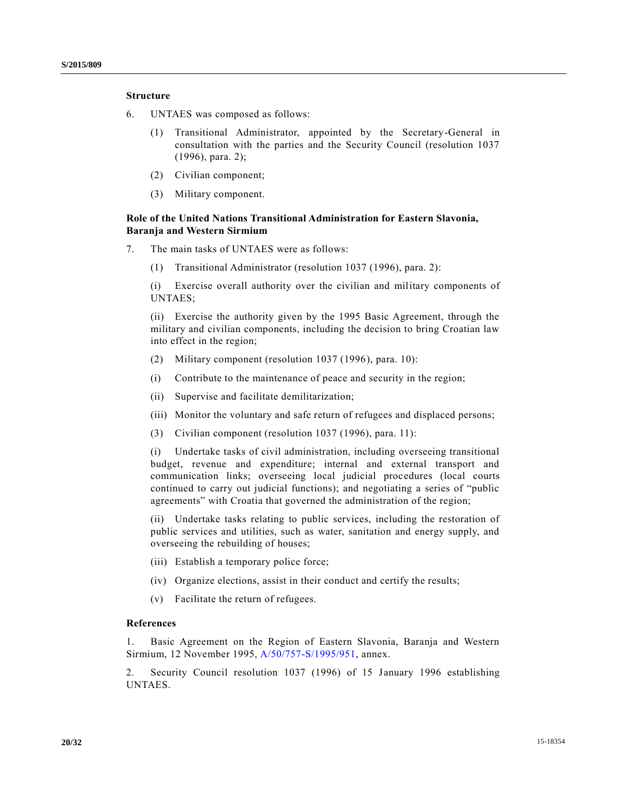# **Structure**

- 6. UNTAES was composed as follows:
	- (1) Transitional Administrator, appointed by the Secretary-General in consultation with the parties and the Security Council (resolution 1037 (1996), para. 2);
	- (2) Civilian component;
	- (3) Military component.

# **Role of the United Nations Transitional Administration for Eastern Slavonia, Baranja and Western Sirmium**

- 7. The main tasks of UNTAES were as follows:
	- (1) Transitional Administrator (resolution 1037 (1996), para. 2):

(i) Exercise overall authority over the civilian and military components of UNTAES;

(ii) Exercise the authority given by the 1995 Basic Agreement, through the military and civilian components, including the decision to bring Croatian law into effect in the region;

- (2) Military component (resolution 1037 (1996), para. 10):
- (i) Contribute to the maintenance of peace and security in the region;
- (ii) Supervise and facilitate demilitarization;
- (iii) Monitor the voluntary and safe return of refugees and displaced persons;
- (3) Civilian component (resolution 1037 (1996), para. 11):

(i) Undertake tasks of civil administration, including overseeing transitional budget, revenue and expenditure; internal and external transport and communication links; overseeing local judicial procedures (local courts continued to carry out judicial functions); and negotiating a series of "public agreements" with Croatia that governed the administration of the region;

(ii) Undertake tasks relating to public services, including the restoration of public services and utilities, such as water, sanitation and energy supply, and overseeing the rebuilding of houses;

- (iii) Establish a temporary police force;
- (iv) Organize elections, assist in their conduct and certify the results;
- (v) Facilitate the return of refugees.

## **References**

1. Basic Agreement on the Region of Eastern Slavonia, Baranja and Western Sirmium, 12 November 1995, [A/50/757-S/1995/951,](http://undocs.org/A/50/757) annex.

2. Security Council resolution 1037 (1996) of 15 January 1996 establishing UNTAES.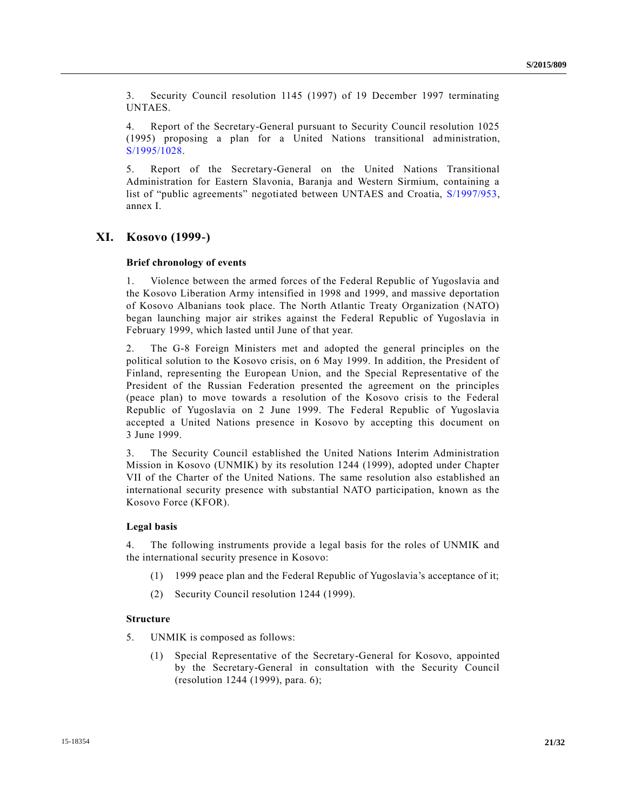3. Security Council resolution 1145 (1997) of 19 December 1997 terminating UNTAES.

4. Report of the Secretary-General pursuant to Security Council resolution 1025 (1995) proposing a plan for a United Nations transitional administration, [S/1995/1028.](http://undocs.org/S/1995/1028)

5. Report of the Secretary-General on the United Nations Transitional Administration for Eastern Slavonia, Baranja and Western Sirmium, containing a list of "public agreements" negotiated between UNTAES and Croatia, [S/1997/953,](http://undocs.org/S/1997/953) annex I.

# **XI. Kosovo (1999-)**

### **Brief chronology of events**

1. Violence between the armed forces of the Federal Republic of Yugoslavia and the Kosovo Liberation Army intensified in 1998 and 1999, and massive deportation of Kosovo Albanians took place. The North Atlantic Treaty Organization (NATO) began launching major air strikes against the Federal Republic of Yugoslavia in February 1999, which lasted until June of that year.

2. The G-8 Foreign Ministers met and adopted the general principles on the political solution to the Kosovo crisis, on 6 May 1999. In addition, the President of Finland, representing the European Union, and the Special Representative of the President of the Russian Federation presented the agreement on the principles (peace plan) to move towards a resolution of the Kosovo crisis to the Federal Republic of Yugoslavia on 2 June 1999. The Federal Republic of Yugoslavia accepted a United Nations presence in Kosovo by accepting this document on 3 June 1999.

3. The Security Council established the United Nations Interim Administration Mission in Kosovo (UNMIK) by its resolution 1244 (1999), adopted under Chapter VII of the Charter of the United Nations. The same resolution also established an international security presence with substantial NATO participation, known as the Kosovo Force (KFOR).

## **Legal basis**

4. The following instruments provide a legal basis for the roles of UNMIK and the international security presence in Kosovo:

- (1) 1999 peace plan and the Federal Republic of Yugoslavia's acceptance of it;
- (2) Security Council resolution 1244 (1999).

### **Structure**

- 5. UNMIK is composed as follows:
	- (1) Special Representative of the Secretary-General for Kosovo, appointed by the Secretary-General in consultation with the Security Council (resolution 1244 (1999), para. 6);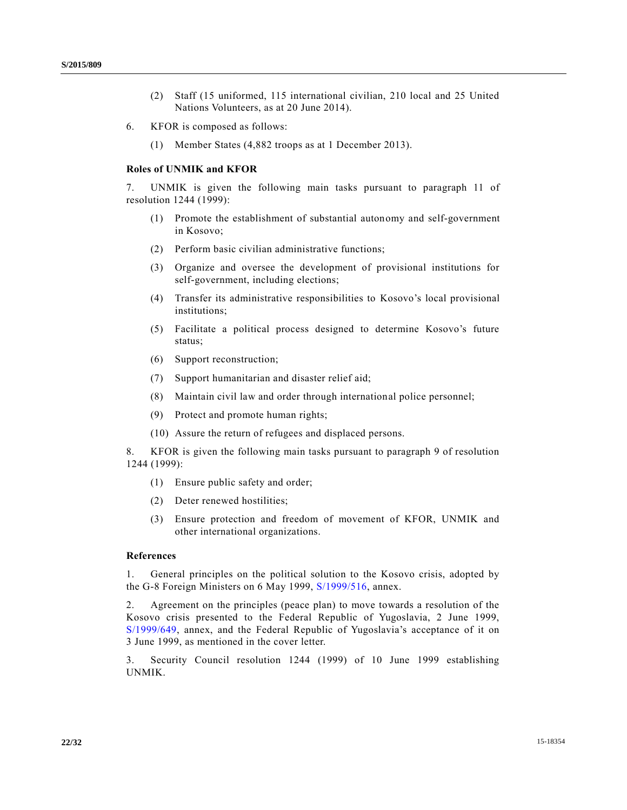- (2) Staff (15 uniformed, 115 international civilian, 210 local and 25 United Nations Volunteers, as at 20 June 2014).
- 6. KFOR is composed as follows:
	- (1) Member States (4,882 troops as at 1 December 2013).

### **Roles of UNMIK and KFOR**

7. UNMIK is given the following main tasks pursuant to paragraph 11 of resolution 1244 (1999):

- (1) Promote the establishment of substantial autonomy and self-government in Kosovo;
- (2) Perform basic civilian administrative functions;
- (3) Organize and oversee the development of provisional institutions for self-government, including elections;
- (4) Transfer its administrative responsibilities to Kosovo's local provisional institutions;
- (5) Facilitate a political process designed to determine Kosovo's future status;
- (6) Support reconstruction;
- (7) Support humanitarian and disaster relief aid;
- (8) Maintain civil law and order through international police personnel;
- (9) Protect and promote human rights;
- (10) Assure the return of refugees and displaced persons.

8. KFOR is given the following main tasks pursuant to paragraph 9 of resolution 1244 (1999):

- (1) Ensure public safety and order;
- (2) Deter renewed hostilities;
- (3) Ensure protection and freedom of movement of KFOR, UNMIK and other international organizations.

### **References**

1. General principles on the political solution to the Kosovo crisis, adopted by the G-8 Foreign Ministers on 6 May 1999, [S/1999/516,](http://undocs.org/S/1999/516) annex.

2. Agreement on the principles (peace plan) to move towards a resolution of the Kosovo crisis presented to the Federal Republic of Yugoslavia, 2 June 1999, [S/1999/649,](http://undocs.org/S/1999/649) annex, and the Federal Republic of Yugoslavia's acceptance of it on 3 June 1999, as mentioned in the cover letter.

3. Security Council resolution 1244 (1999) of 10 June 1999 establishing UNMIK.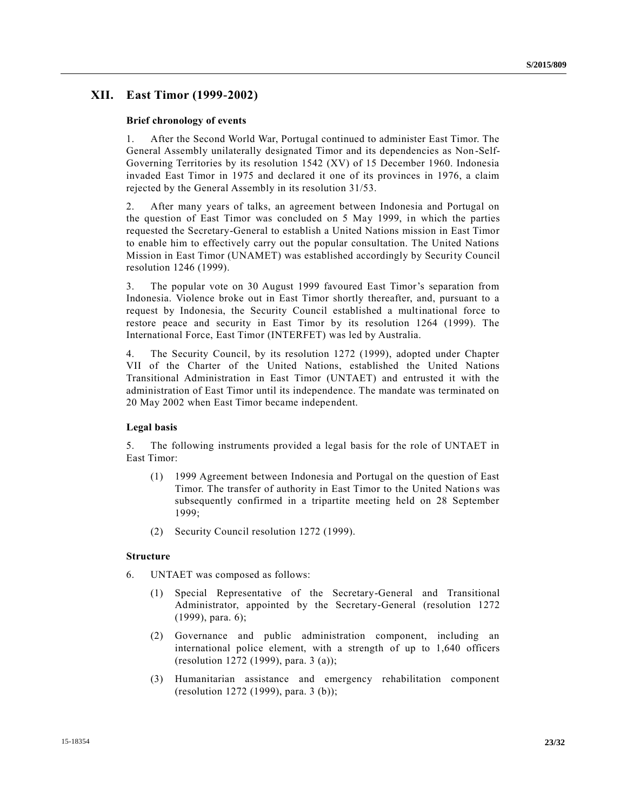# **XII. East Timor (1999-2002)**

#### **Brief chronology of events**

1. After the Second World War, Portugal continued to administer East Timor. The General Assembly unilaterally designated Timor and its dependencies as Non -Self-Governing Territories by its resolution 1542 (XV) of 15 December 1960. Indonesia invaded East Timor in 1975 and declared it one of its provinces in 1976, a claim rejected by the General Assembly in its resolution 31/53.

2. After many years of talks, an agreement between Indonesia and Portugal on the question of East Timor was concluded on 5 May 1999, in which the parties requested the Secretary-General to establish a United Nations mission in East Timor to enable him to effectively carry out the popular consultation. The United Nations Mission in East Timor (UNAMET) was established accordingly by Security Council resolution 1246 (1999).

3. The popular vote on 30 August 1999 favoured East Timor's separation from Indonesia. Violence broke out in East Timor shortly thereafter, and, pursuant to a request by Indonesia, the Security Council established a multinational force to restore peace and security in East Timor by its resolution 1264 (1999). The International Force, East Timor (INTERFET) was led by Australia.

4. The Security Council, by its resolution 1272 (1999), adopted under Chapter VII of the Charter of the United Nations, established the United Nations Transitional Administration in East Timor (UNTAET) and entrusted it with the administration of East Timor until its independence. The mandate was terminated on 20 May 2002 when East Timor became independent.

#### **Legal basis**

5. The following instruments provided a legal basis for the role of UNTAET in East Timor:

- (1) 1999 Agreement between Indonesia and Portugal on the question of East Timor. The transfer of authority in East Timor to the United Nations was subsequently confirmed in a tripartite meeting held on 28 September 1999;
- (2) Security Council resolution 1272 (1999).

### **Structure**

- 6. UNTAET was composed as follows:
	- (1) Special Representative of the Secretary-General and Transitional Administrator, appointed by the Secretary-General (resolution 1272 (1999), para. 6);
	- (2) Governance and public administration component, including an international police element, with a strength of up to 1,640 officers (resolution 1272 (1999), para. 3 (a));
	- (3) Humanitarian assistance and emergency rehabilitation component (resolution 1272 (1999), para. 3 (b));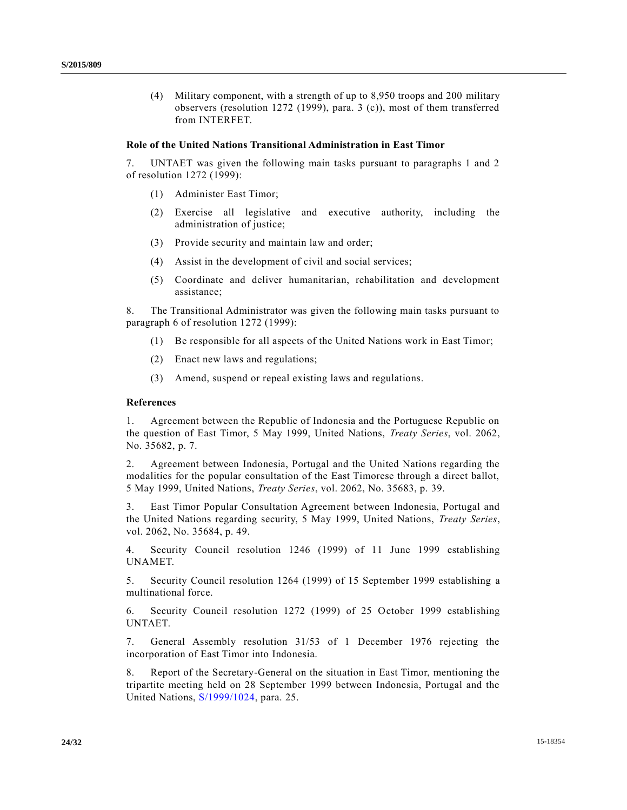(4) Military component, with a strength of up to 8,950 troops and 200 military observers (resolution 1272 (1999), para. 3 (c)), most of them transferred from INTERFET.

#### **Role of the United Nations Transitional Administration in East Timor**

7. UNTAET was given the following main tasks pursuant to paragraphs 1 and 2 of resolution 1272 (1999):

- (1) Administer East Timor;
- (2) Exercise all legislative and executive authority, including the administration of justice;
- (3) Provide security and maintain law and order;
- (4) Assist in the development of civil and social services;
- (5) Coordinate and deliver humanitarian, rehabilitation and development assistance;

8. The Transitional Administrator was given the following main tasks pursuant to paragraph 6 of resolution 1272 (1999):

- (1) Be responsible for all aspects of the United Nations work in East Timor;
- (2) Enact new laws and regulations;
- (3) Amend, suspend or repeal existing laws and regulations.

#### **References**

1. Agreement between the Republic of Indonesia and the Portuguese Republic on the question of East Timor, 5 May 1999, United Nations, *Treaty Series*, vol. 2062, No. 35682, p. 7.

2. Agreement between Indonesia, Portugal and the United Nations regarding the modalities for the popular consultation of the East Timorese through a direct ballot, 5 May 1999, United Nations, *Treaty Series*, vol. 2062, No. 35683, p. 39.

3. East Timor Popular Consultation Agreement between Indonesia, Portugal and the United Nations regarding security, 5 May 1999, United Nations, *Treaty Series*, vol. 2062, No. 35684, p. 49.

4. Security Council resolution 1246 (1999) of 11 June 1999 establishing UNAMET.

5. Security Council resolution 1264 (1999) of 15 September 1999 establishing a multinational force.

6. Security Council resolution 1272 (1999) of 25 October 1999 establishing UNTAET.

7. General Assembly resolution 31/53 of 1 December 1976 rejecting the incorporation of East Timor into Indonesia.

8. Report of the Secretary-General on the situation in East Timor, mentioning the tripartite meeting held on 28 September 1999 between Indonesia, Portugal and the United Nations, [S/1999/1024,](http://undocs.org/S/1999/1024) para. 25.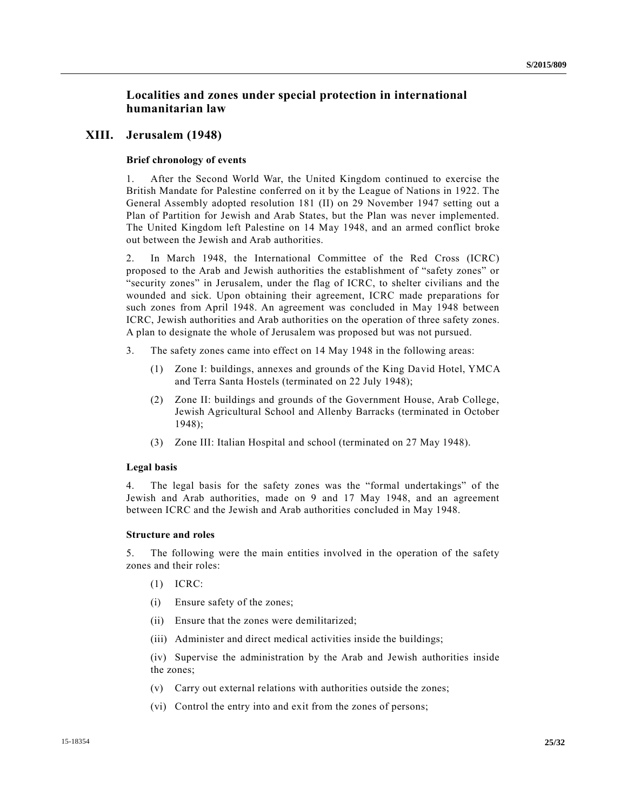# **Localities and zones under special protection in international humanitarian law**

# **XIII. Jerusalem (1948)**

### **Brief chronology of events**

1. After the Second World War, the United Kingdom continued to exercise the British Mandate for Palestine conferred on it by the League of Nations in 1922. The General Assembly adopted resolution 181 (II) on 29 November 1947 setting out a Plan of Partition for Jewish and Arab States, but the Plan was never implemented. The United Kingdom left Palestine on 14 May 1948, and an armed conflict broke out between the Jewish and Arab authorities.

2. In March 1948, the International Committee of the Red Cross (ICRC) proposed to the Arab and Jewish authorities the establishment of "safety zones" or "security zones" in Jerusalem, under the flag of ICRC, to shelter civilians and the wounded and sick. Upon obtaining their agreement, ICRC made preparations for such zones from April 1948. An agreement was concluded in May 1948 between ICRC, Jewish authorities and Arab authorities on the operation of three safety zones. A plan to designate the whole of Jerusalem was proposed but was not pursued.

- 3. The safety zones came into effect on 14 May 1948 in the following areas:
	- (1) Zone I: buildings, annexes and grounds of the King David Hotel, YMCA and Terra Santa Hostels (terminated on 22 July 1948);
	- (2) Zone II: buildings and grounds of the Government House, Arab College, Jewish Agricultural School and Allenby Barracks (terminated in October 1948);
	- (3) Zone III: Italian Hospital and school (terminated on 27 May 1948).

### **Legal basis**

4. The legal basis for the safety zones was the "formal undertakings" of the Jewish and Arab authorities, made on 9 and 17 May 1948, and an agreement between ICRC and the Jewish and Arab authorities concluded in May 1948.

### **Structure and roles**

5. The following were the main entities involved in the operation of the safety zones and their roles:

- (1) ICRC:
- (i) Ensure safety of the zones;
- (ii) Ensure that the zones were demilitarized;
- (iii) Administer and direct medical activities inside the buildings;

(iv) Supervise the administration by the Arab and Jewish authorities inside the zones;

- (v) Carry out external relations with authorities outside the zones;
- (vi) Control the entry into and exit from the zones of persons;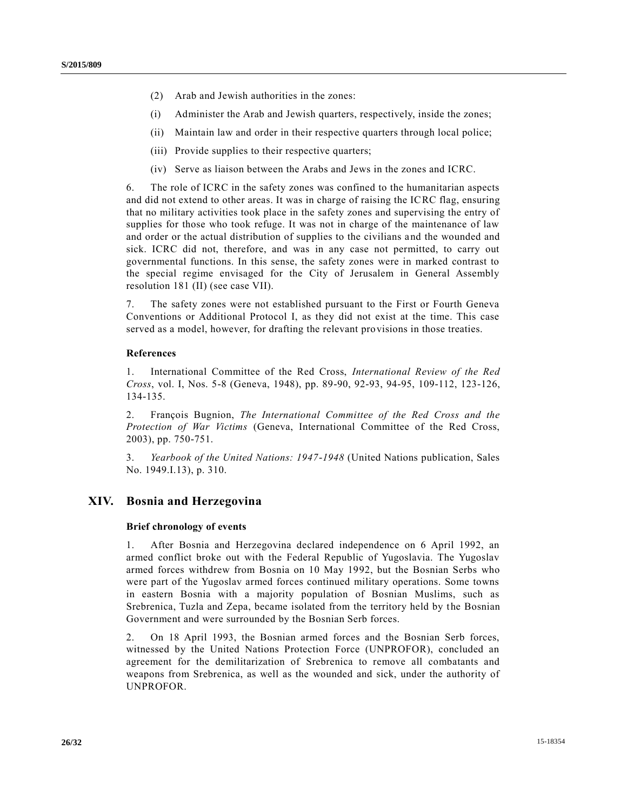- (2) Arab and Jewish authorities in the zones:
- (i) Administer the Arab and Jewish quarters, respectively, inside the zones;
- (ii) Maintain law and order in their respective quarters through local police;
- (iii) Provide supplies to their respective quarters;
- (iv) Serve as liaison between the Arabs and Jews in the zones and ICRC.

6. The role of ICRC in the safety zones was confined to the humanitarian aspects and did not extend to other areas. It was in charge of raising the ICRC flag, ensuring that no military activities took place in the safety zones and supervising the entry of supplies for those who took refuge. It was not in charge of the maintenance of law and order or the actual distribution of supplies to the civilians and the wounded and sick. ICRC did not, therefore, and was in any case not permitted, to carry out governmental functions. In this sense, the safety zones were in marked contrast to the special regime envisaged for the City of Jerusalem in General Assembly resolution 181 (II) (see case VII).

7. The safety zones were not established pursuant to the First or Fourth Geneva Conventions or Additional Protocol I, as they did not exist at the time. This case served as a model, however, for drafting the relevant provisions in those treaties.

## **References**

1. International Committee of the Red Cross, *International Review of the Red Cross*, vol. I, Nos. 5-8 (Geneva, 1948), pp. 89-90, 92-93, 94-95, 109-112, 123-126, 134-135.

2. François Bugnion, *The International Committee of the Red Cross and the Protection of War Victims* (Geneva, International Committee of the Red Cross, 2003), pp. 750-751.

3. *Yearbook of the United Nations: 1947-1948* (United Nations publication, Sales No. 1949.I.13), p. 310.

# **XIV. Bosnia and Herzegovina**

## **Brief chronology of events**

1. After Bosnia and Herzegovina declared independence on 6 April 1992, an armed conflict broke out with the Federal Republic of Yugoslavia. The Yugoslav armed forces withdrew from Bosnia on 10 May 1992, but the Bosnian Serbs who were part of the Yugoslav armed forces continued military operations. Some towns in eastern Bosnia with a majority population of Bosnian Muslims, such as Srebrenica, Tuzla and Zepa, became isolated from the territory held by the Bosnian Government and were surrounded by the Bosnian Serb forces.

2. On 18 April 1993, the Bosnian armed forces and the Bosnian Serb forces, witnessed by the United Nations Protection Force (UNPROFOR), concluded an agreement for the demilitarization of Srebrenica to remove all combatants and weapons from Srebrenica, as well as the wounded and sick, under the authority of UNPROFOR.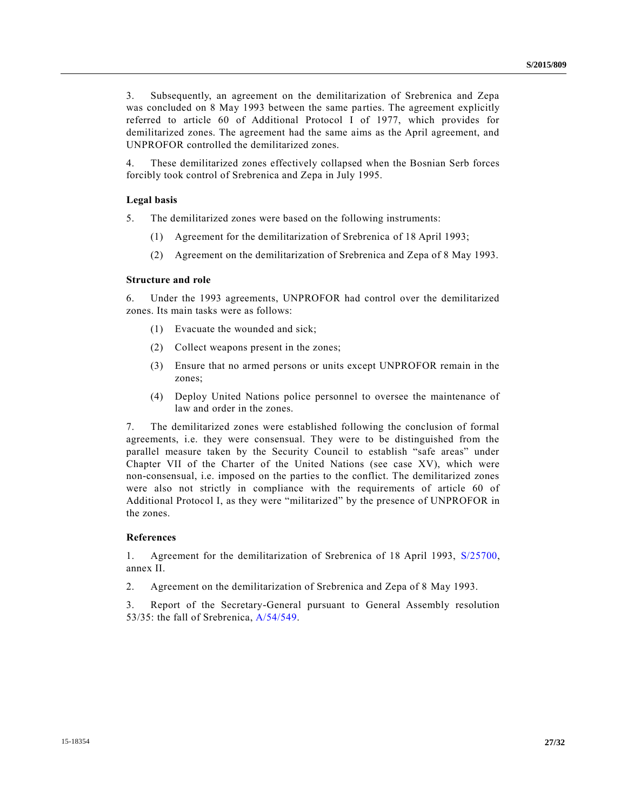3. Subsequently, an agreement on the demilitarization of Srebrenica and Zepa was concluded on 8 May 1993 between the same parties. The agreement explicitly referred to article 60 of Additional Protocol I of 1977, which provides for demilitarized zones. The agreement had the same aims as the April agreement, and UNPROFOR controlled the demilitarized zones.

4. These demilitarized zones effectively collapsed when the Bosnian Serb forces forcibly took control of Srebrenica and Zepa in July 1995.

#### **Legal basis**

5. The demilitarized zones were based on the following instruments:

- (1) Agreement for the demilitarization of Srebrenica of 18 April 1993;
- (2) Agreement on the demilitarization of Srebrenica and Zepa of 8 May 1993.

#### **Structure and role**

6. Under the 1993 agreements, UNPROFOR had control over the demilitarized zones. Its main tasks were as follows:

- (1) Evacuate the wounded and sick;
- (2) Collect weapons present in the zones;
- (3) Ensure that no armed persons or units except UNPROFOR remain in the zones;
- (4) Deploy United Nations police personnel to oversee the maintenance of law and order in the zones.

7. The demilitarized zones were established following the conclusion of formal agreements, i.e. they were consensual. They were to be distinguished from the parallel measure taken by the Security Council to establish "safe areas" under Chapter VII of the Charter of the United Nations (see case XV), which were non-consensual, i.e. imposed on the parties to the conflict. The demilitarized zones were also not strictly in compliance with the requirements of article 60 of Additional Protocol I, as they were "militarized" by the presence of UNPROFOR in the zones.

#### **References**

1. Agreement for the demilitarization of Srebrenica of 18 April 1993, [S/25700,](http://undocs.org/S/25700) annex II.

2. Agreement on the demilitarization of Srebrenica and Zepa of 8 May 1993.

3. Report of the Secretary-General pursuant to General Assembly resolution 53/35: the fall of Srebrenica, [A/54/549.](http://undocs.org/A/54/549)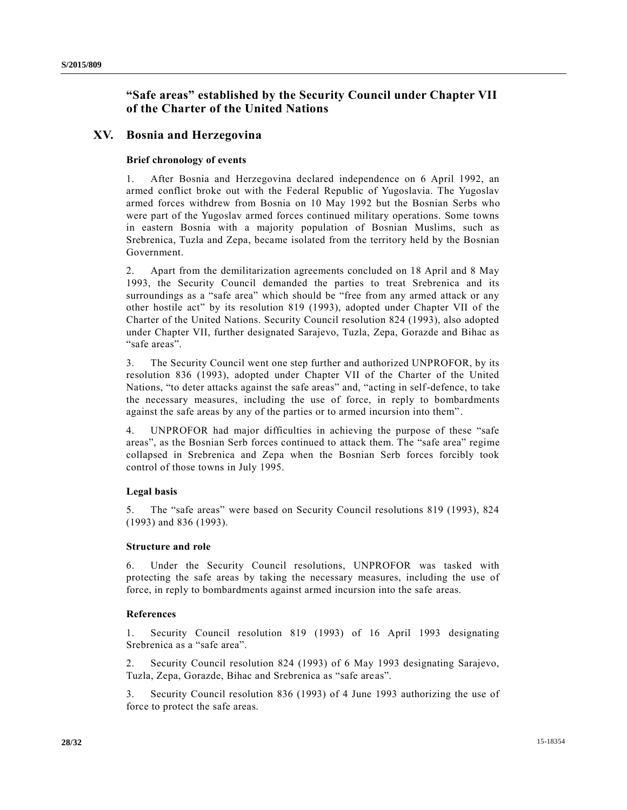# **"Safe areas" established by the Security Council under Chapter VII of the Charter of the United Nations**

# **XV. Bosnia and Herzegovina**

# **Brief chronology of events**

1. After Bosnia and Herzegovina declared independence on 6 April 1992, an armed conflict broke out with the Federal Republic of Yugoslavia. The Yugoslav armed forces withdrew from Bosnia on 10 May 1992 but the Bosnian Serbs who were part of the Yugoslav armed forces continued military operations. Some towns in eastern Bosnia with a majority population of Bosnian Muslims, such as Srebrenica, Tuzla and Zepa, became isolated from the territory held by the Bosnian Government.

2. Apart from the demilitarization agreements concluded on 18 April and 8 May 1993, the Security Council demanded the parties to treat Srebrenica and its surroundings as a "safe area" which should be "free from any armed attack or any other hostile act" by its resolution 819 (1993), adopted under Chapter VII of the Charter of the United Nations. Security Council resolution 824 (1993), also adopted under Chapter VII, further designated Sarajevo, Tuzla, Zepa, Gorazde and Bihac as "safe areas".

3. The Security Council went one step further and authorized UNPROFOR, by its resolution 836 (1993), adopted under Chapter VII of the Charter of the United Nations, "to deter attacks against the safe areas" and, "acting in self-defence, to take the necessary measures, including the use of force, in reply to bombardments against the safe areas by any of the parties or to armed incursion into them" .

4. UNPROFOR had major difficulties in achieving the purpose of these "safe areas", as the Bosnian Serb forces continued to attack them. The "safe area" regime collapsed in Srebrenica and Zepa when the Bosnian Serb forces forcibly took control of those towns in July 1995.

# **Legal basis**

5. The "safe areas" were based on Security Council resolutions 819 (1993), 824 (1993) and 836 (1993).

# **Structure and role**

6. Under the Security Council resolutions, UNPROFOR was tasked with protecting the safe areas by taking the necessary measures, including the use of force, in reply to bombardments against armed incursion into the safe areas.

## **References**

1. Security Council resolution 819 (1993) of 16 April 1993 designating Srebrenica as a "safe area".

2. Security Council resolution 824 (1993) of 6 May 1993 designating Sarajevo, Tuzla, Zepa, Gorazde, Bihac and Srebrenica as "safe areas".

3. Security Council resolution 836 (1993) of 4 June 1993 authorizing the use of force to protect the safe areas.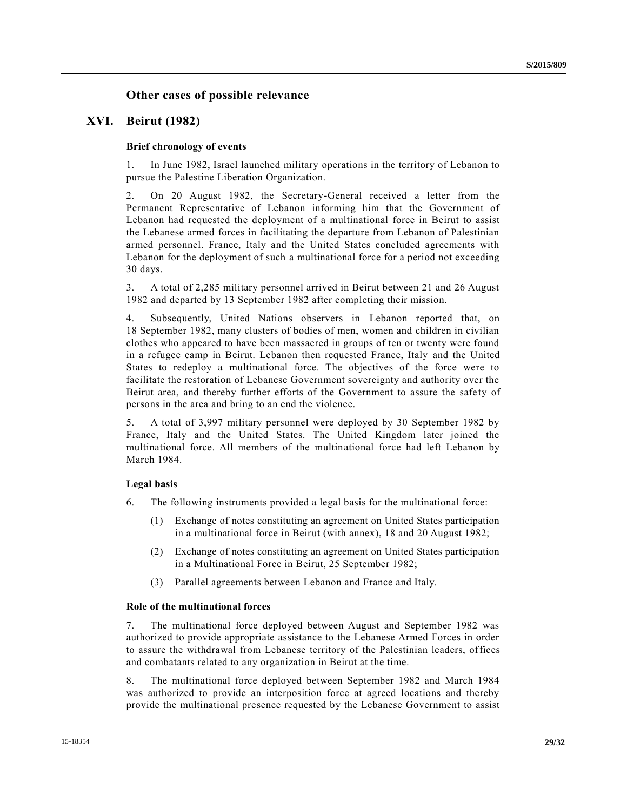# **Other cases of possible relevance**

# **XVI. Beirut (1982)**

# **Brief chronology of events**

1. In June 1982, Israel launched military operations in the territory of Lebanon to pursue the Palestine Liberation Organization.

2. On 20 August 1982, the Secretary-General received a letter from the Permanent Representative of Lebanon informing him that the Government of Lebanon had requested the deployment of a multinational force in Beirut to assist the Lebanese armed forces in facilitating the departure from Lebanon of Palestinian armed personnel. France, Italy and the United States concluded agreements with Lebanon for the deployment of such a multinational force for a period not exceeding 30 days.

3. A total of 2,285 military personnel arrived in Beirut between 21 and 26 August 1982 and departed by 13 September 1982 after completing their mission.

4. Subsequently, United Nations observers in Lebanon reported that, on 18 September 1982, many clusters of bodies of men, women and children in civilian clothes who appeared to have been massacred in groups of ten or twenty were found in a refugee camp in Beirut. Lebanon then requested France, Italy and the United States to redeploy a multinational force. The objectives of the force were to facilitate the restoration of Lebanese Government sovereignty and authority over the Beirut area, and thereby further efforts of the Government to assure the safety of persons in the area and bring to an end the violence.

5. A total of 3,997 military personnel were deployed by 30 September 1982 by France, Italy and the United States. The United Kingdom later joined the multinational force. All members of the multinational force had left Lebanon by March 1984.

## **Legal basis**

- 6. The following instruments provided a legal basis for the multinational force:
	- (1) Exchange of notes constituting an agreement on United States participation in a multinational force in Beirut (with annex), 18 and 20 August 1982;
	- (2) Exchange of notes constituting an agreement on United States participation in a Multinational Force in Beirut, 25 September 1982;
	- (3) Parallel agreements between Lebanon and France and Italy.

# **Role of the multinational forces**

7. The multinational force deployed between August and September 1982 was authorized to provide appropriate assistance to the Lebanese Armed Forces in order to assure the withdrawal from Lebanese territory of the Palestinian leaders, offices and combatants related to any organization in Beirut at the time.

8. The multinational force deployed between September 1982 and March 1984 was authorized to provide an interposition force at agreed locations and thereby provide the multinational presence requested by the Lebanese Government to assist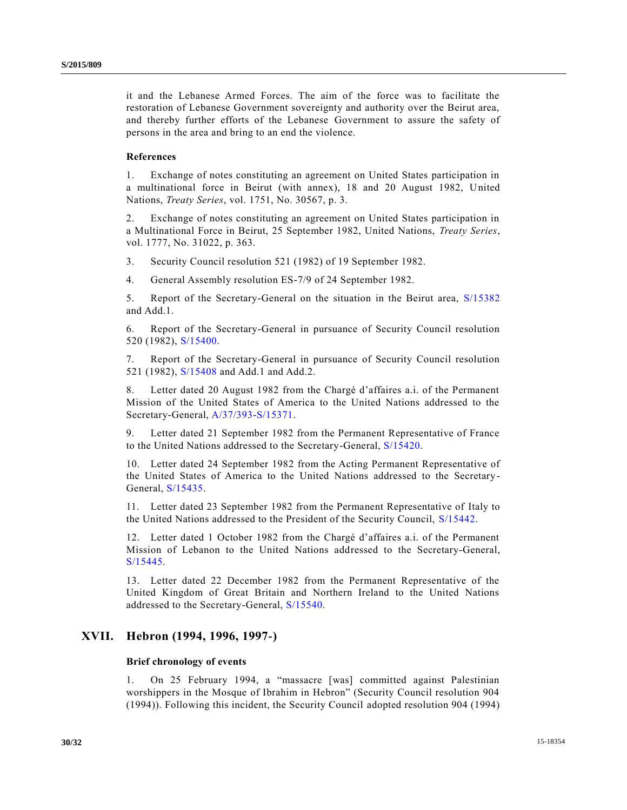it and the Lebanese Armed Forces. The aim of the force was to facilitate the restoration of Lebanese Government sovereignty and authority over the Beirut area, and thereby further efforts of the Lebanese Government to assure the safety of persons in the area and bring to an end the violence.

# **References**

1. Exchange of notes constituting an agreement on United States participation in a multinational force in Beirut (with annex), 18 and 20 August 1982, United Nations, *Treaty Series*, vol. 1751, No. 30567, p. 3.

2. Exchange of notes constituting an agreement on United States participation in a Multinational Force in Beirut, 25 September 1982, United Nations, *Treaty Series*, vol. 1777, No. 31022, p. 363.

3. Security Council resolution 521 (1982) of 19 September 1982.

4. General Assembly resolution ES-7/9 of 24 September 1982.

5. Report of the Secretary-General on the situation in the Beirut area, [S/15382](http://undocs.org/S/15382) and Add.1.

6. Report of the Secretary-General in pursuance of Security Council resolution 520 (1982), [S/15400.](http://undocs.org/S/15400)

7. Report of the Secretary-General in pursuance of Security Council resolution 521 (1982), [S/15408](http://undocs.org/S/15408) and Add.1 and Add.2.

8. Letter dated 20 August 1982 from the Chargé d'affaires a.i. of the Permanent Mission of the United States of America to the United Nations addressed to the Secretary-General, [A/37/393-S/15371.](http://undocs.org/A/37/393-S/15371)

9. Letter dated 21 September 1982 from the Permanent Representative of France to the United Nations addressed to the Secretary-General, [S/15420.](http://undocs.org/S/15420)

10. Letter dated 24 September 1982 from the Acting Permanent Representative of the United States of America to the United Nations addressed to the Secretary-General, [S/15435.](http://undocs.org/S/15435)

11. Letter dated 23 September 1982 from the Permanent Representative of Italy to the United Nations addressed to the President of the Security Council, [S/15442.](http://undocs.org/S/15442)

12. Letter dated 1 October 1982 from the Chargé d'affaires a.i. of the Permanent Mission of Lebanon to the United Nations addressed to the Secretary-General, [S/15445.](http://undocs.org/S/15445)

13. Letter dated 22 December 1982 from the Permanent Representative of the United Kingdom of Great Britain and Northern Ireland to the United Nations addressed to the Secretary-General, [S/15540.](http://undocs.org/S/15540)

# **XVII. Hebron (1994, 1996, 1997-)**

# **Brief chronology of events**

1. On 25 February 1994, a "massacre [was] committed against Palestinian worshippers in the Mosque of Ibrahim in Hebron" (Security Council resolution 904 (1994)). Following this incident, the Security Council adopted resolution 904 (1994)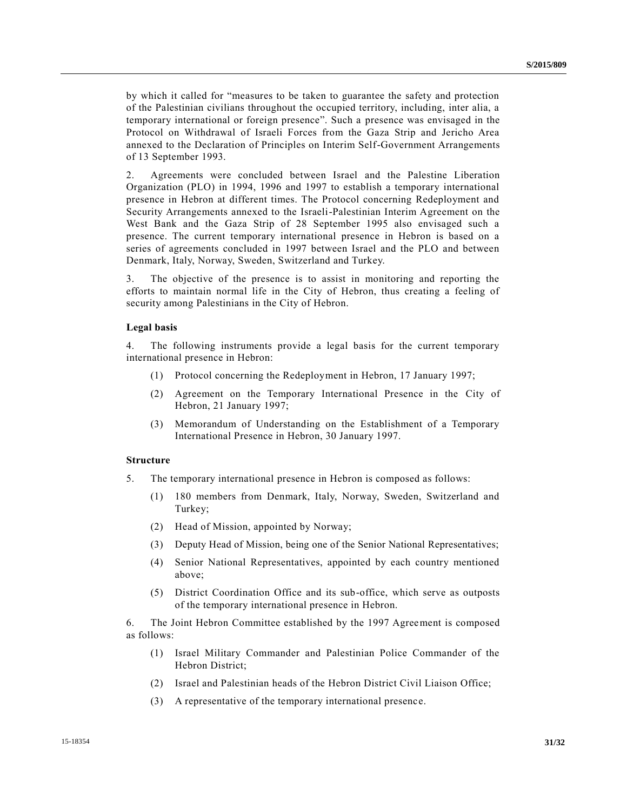by which it called for "measures to be taken to guarantee the safety and protection of the Palestinian civilians throughout the occupied territory, including, inter alia, a temporary international or foreign presence". Such a presence was envisaged in the Protocol on Withdrawal of Israeli Forces from the Gaza Strip and Jericho Area annexed to the Declaration of Principles on Interim Self-Government Arrangements of 13 September 1993.

2. Agreements were concluded between Israel and the Palestine Liberation Organization (PLO) in 1994, 1996 and 1997 to establish a temporary international presence in Hebron at different times. The Protocol concerning Redeployment and Security Arrangements annexed to the Israeli-Palestinian Interim Agreement on the West Bank and the Gaza Strip of 28 September 1995 also envisaged such a presence. The current temporary international presence in Hebron is based on a series of agreements concluded in 1997 between Israel and the PLO and between Denmark, Italy, Norway, Sweden, Switzerland and Turkey.

3. The objective of the presence is to assist in monitoring and reporting the efforts to maintain normal life in the City of Hebron, thus creating a feeling of security among Palestinians in the City of Hebron.

### **Legal basis**

4. The following instruments provide a legal basis for the current temporary international presence in Hebron:

- (1) Protocol concerning the Redeployment in Hebron, 17 January 1997;
- (2) Agreement on the Temporary International Presence in the City of Hebron, 21 January 1997;
- (3) Memorandum of Understanding on the Establishment of a Temporary International Presence in Hebron, 30 January 1997.

### **Structure**

- 5. The temporary international presence in Hebron is composed as follows:
	- (1) 180 members from Denmark, Italy, Norway, Sweden, Switzerland and Turkey;
	- (2) Head of Mission, appointed by Norway;
	- (3) Deputy Head of Mission, being one of the Senior National Representatives;
	- (4) Senior National Representatives, appointed by each country mentioned above;
	- (5) District Coordination Office and its sub-office, which serve as outposts of the temporary international presence in Hebron.

6. The Joint Hebron Committee established by the 1997 Agreement is composed as follows:

- (1) Israel Military Commander and Palestinian Police Commander of the Hebron District;
- (2) Israel and Palestinian heads of the Hebron District Civil Liaison Office;
- (3) A representative of the temporary international presence.